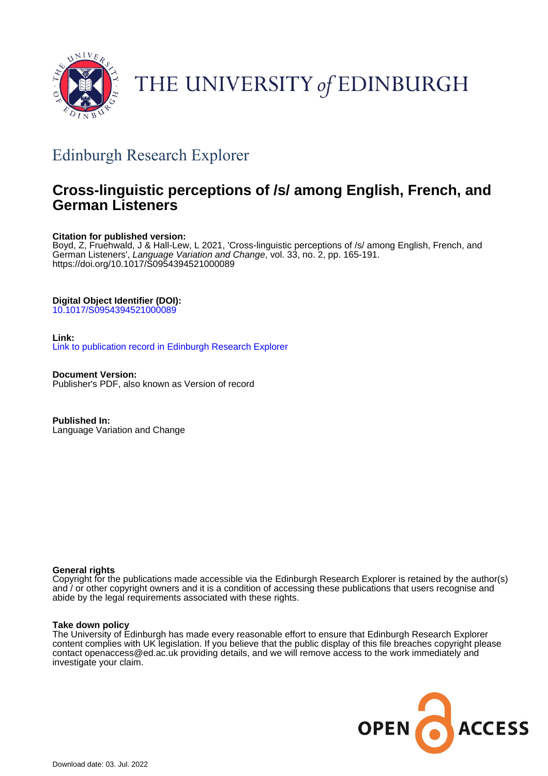

# THE UNIVERSITY of EDINBURGH

## Edinburgh Research Explorer

## **Cross-linguistic perceptions of /s/ among English, French, and German Listeners**

## **Citation for published version:**

Boyd, Z, Fruehwald, J & Hall-Lew, L 2021, 'Cross-linguistic perceptions of /s/ among English, French, and German Listeners', Language Variation and Change, vol. 33, no. 2, pp. 165-191. <https://doi.org/10.1017/S0954394521000089>

## **Digital Object Identifier (DOI):**

[10.1017/S0954394521000089](https://doi.org/10.1017/S0954394521000089)

## **Link:**

[Link to publication record in Edinburgh Research Explorer](https://www.research.ed.ac.uk/en/publications/2bcf03ac-e8d8-41ec-899a-222add0523f9)

**Document Version:** Publisher's PDF, also known as Version of record

**Published In:** Language Variation and Change

## **General rights**

Copyright for the publications made accessible via the Edinburgh Research Explorer is retained by the author(s) and / or other copyright owners and it is a condition of accessing these publications that users recognise and abide by the legal requirements associated with these rights.

## **Take down policy**

The University of Edinburgh has made every reasonable effort to ensure that Edinburgh Research Explorer content complies with UK legislation. If you believe that the public display of this file breaches copyright please contact openaccess@ed.ac.uk providing details, and we will remove access to the work immediately and investigate your claim.

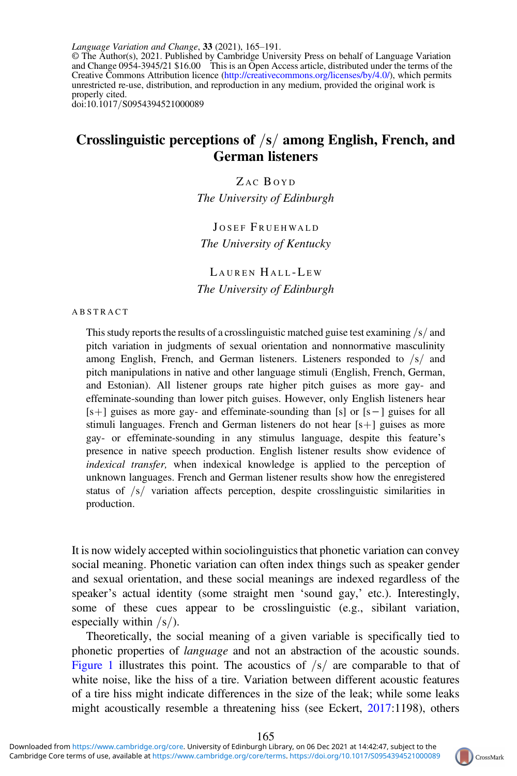Language Variation and Change, 33 (2021), 165–191. © The Author(s), 2021. Published by Cambridge University Press on behalf of Language Variation and Change 0954-3945/21 \$16.00 This is an Open Access article, distributed under the terms of the Creative Commons Attribution licence [\(http://creativecommons.org/licenses/by/4.0/](http://creativecommons.org/licenses/by/4.0/)), which permits unrestricted re-use, distribution, and reproduction in any medium, provided the original work is properly cited. doi:10.1017/S0954394521000089

## Crosslinguistic perceptions of  $\sqrt{s}$  among English, French, and German listeners

ZAC BOYD The University of Edinburgh

JOSEF FRUEHWALD The University of Kentucky

LAUREN HALL-LEW The University of Edinburgh

#### ABSTRACT

This study reports the results of a crosslinguistic matched guise test examining  $\sqrt{s}$  and pitch variation in judgments of sexual orientation and nonnormative masculinity among English, French, and German listeners. Listeners responded to  $\frac{s}{a}$  and pitch manipulations in native and other language stimuli (English, French, German, and Estonian). All listener groups rate higher pitch guises as more gay- and effeminate-sounding than lower pitch guises. However, only English listeners hear [sþ] guises as more gay- and effeminate-sounding than [s] or [s−] guises for all stimuli languages. French and German listeners do not hear  $[s+]$  guises as more gay- or effeminate-sounding in any stimulus language, despite this feature's presence in native speech production. English listener results show evidence of indexical transfer, when indexical knowledge is applied to the perception of unknown languages. French and German listener results show how the enregistered status of  $\sqrt{s}$  variation affects perception, despite crosslinguistic similarities in production.

It is now widely accepted within sociolinguistics that phonetic variation can convey social meaning. Phonetic variation can often index things such as speaker gender and sexual orientation, and these social meanings are indexed regardless of the speaker's actual identity (some straight men 'sound gay,' etc.). Interestingly, some of these cues appear to be crosslinguistic (e.g., sibilant variation, especially within  $\frac{s}{$ .

Theoretically, the social meaning of a given variable is specifically tied to phonetic properties of language and not an abstraction of the acoustic sounds. [Figure 1](#page-2-0) illustrates this point. The acoustics of  $\frac{s}{s}$  are comparable to that of white noise, like the hiss of a tire. Variation between different acoustic features of a tire hiss might indicate differences in the size of the leak; while some leaks might acoustically resemble a threatening hiss (see Eckert, [2017](#page-24-0):1198), others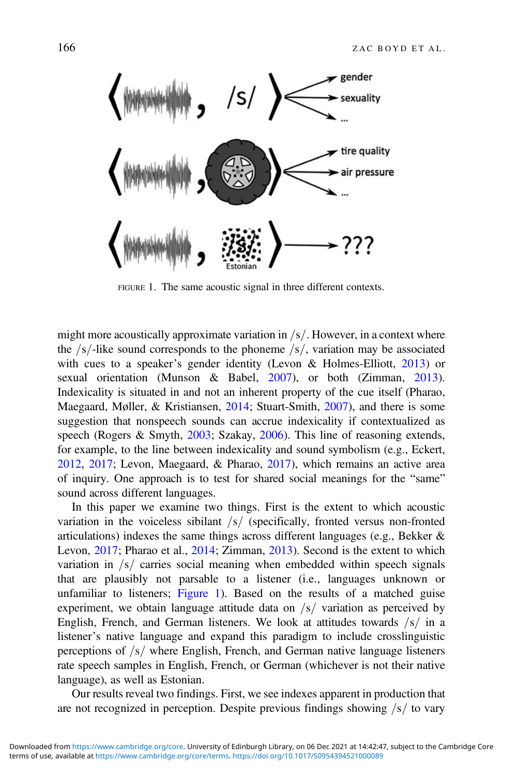<span id="page-2-0"></span>

FIGURE 1. The same acoustic signal in three different contexts.

might more acoustically approximate variation in  $/s/$ . However, in a context where the  $/s$ -like sound corresponds to the phoneme  $/s/$ , variation may be associated with cues to a speaker's gender identity (Levon & Holmes-Elliott, [2013\)](#page-25-0) or sexual orientation (Munson & Babel, [2007](#page-26-0)), or both (Zimman, [2013](#page-27-0)). Indexicality is situated in and not an inherent property of the cue itself (Pharao, Maegaard, Møller, & Kristiansen, [2014](#page-26-0); Stuart-Smith, [2007](#page-26-0)), and there is some suggestion that nonspeech sounds can accrue indexicality if contextualized as speech (Rogers & Smyth, [2003](#page-26-0); Szakay, [2006\)](#page-26-0). This line of reasoning extends, for example, to the line between indexicality and sound symbolism (e.g., Eckert, [2012](#page-24-0), [2017](#page-24-0); Levon, Maegaard, & Pharao, [2017](#page-25-0)), which remains an active area of inquiry. One approach is to test for shared social meanings for the "same" sound across different languages.

In this paper we examine two things. First is the extent to which acoustic variation in the voiceless sibilant  $\frac{s}{s}$  (specifically, fronted versus non-fronted articulations) indexes the same things across different languages (e.g., Bekker & Levon, [2017;](#page-24-0) Pharao et al., [2014;](#page-26-0) Zimman, [2013\)](#page-27-0). Second is the extent to which variation in  $\frac{s}{\sqrt{s}}$  carries social meaning when embedded within speech signals that are plausibly not parsable to a listener (i.e., languages unknown or unfamiliar to listeners; Figure 1). Based on the results of a matched guise experiment, we obtain language attitude data on  $\frac{s}{r}$  variation as perceived by English, French, and German listeners. We look at attitudes towards  $/s/$  in a listener's native language and expand this paradigm to include crosslinguistic perceptions of  $\sqrt{s}$  where English, French, and German native language listeners rate speech samples in English, French, or German (whichever is not their native language), as well as Estonian.

Our results reveal two findings. First, we see indexes apparent in production that are not recognized in perception. Despite previous findings showing  $\frac{s}{s}$  to vary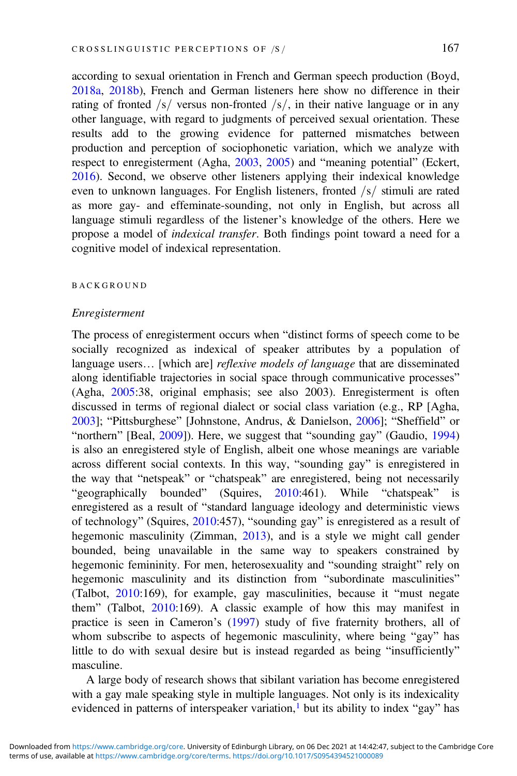according to sexual orientation in French and German speech production (Boyd, [2018a](#page-24-0), [2018b](#page-24-0)), French and German listeners here show no difference in their rating of fronted  $\frac{s}{s}$  versus non-fronted  $\frac{s}{s}$ , in their native language or in any other language, with regard to judgments of perceived sexual orientation. These results add to the growing evidence for patterned mismatches between production and perception of sociophonetic variation, which we analyze with respect to enregisterment (Agha, [2003](#page-24-0), [2005\)](#page-24-0) and "meaning potential" (Eckert, [2016\)](#page-24-0). Second, we observe other listeners applying their indexical knowledge even to unknown languages. For English listeners, fronted  $\frac{s}{\sin{\theta}}$  stimuli are rated as more gay- and effeminate-sounding, not only in English, but across all language stimuli regardless of the listener's knowledge of the others. Here we propose a model of indexical transfer. Both findings point toward a need for a cognitive model of indexical representation.

#### BACKGROUND

#### Enregisterment

The process of enregisterment occurs when "distinct forms of speech come to be socially recognized as indexical of speaker attributes by a population of language users... [which are] reflexive models of language that are disseminated along identifiable trajectories in social space through communicative processes" (Agha, [2005:](#page-24-0)38, original emphasis; see also 2003). Enregisterment is often discussed in terms of regional dialect or social class variation (e.g., RP [Agha, [2003\]](#page-24-0); "Pittsburghese" [Johnstone, Andrus, & Danielson, [2006\]](#page-25-0); "Sheffield" or "northern" [Beal, [2009](#page-24-0)]). Here, we suggest that "sounding gay" (Gaudio, [1994\)](#page-25-0) is also an enregistered style of English, albeit one whose meanings are variable across different social contexts. In this way, "sounding gay" is enregistered in the way that "netspeak" or "chatspeak" are enregistered, being not necessarily "geographically bounded" (Squires, [2010:](#page-26-0)461). While "chatspeak" is enregistered as a result of "standard language ideology and deterministic views of technology" (Squires, [2010:](#page-26-0)457), "sounding gay" is enregistered as a result of hegemonic masculinity (Zimman, [2013\)](#page-27-0), and is a style we might call gender bounded, being unavailable in the same way to speakers constrained by hegemonic femininity. For men, heterosexuality and "sounding straight" rely on hegemonic masculinity and its distinction from "subordinate masculinities" (Talbot, [2010:](#page-26-0)169), for example, gay masculinities, because it "must negate them" (Talbot, [2010:](#page-26-0)169). A classic example of how this may manifest in practice is seen in Cameron's [\(1997](#page-24-0)) study of five fraternity brothers, all of whom subscribe to aspects of hegemonic masculinity, where being "gay" has little to do with sexual desire but is instead regarded as being "insufficiently" masculine.

A large body of research shows that sibilant variation has become enregistered with a gay male speaking style in multiple languages. Not only is its indexicality evidenced in patterns of interspeaker variation, $<sup>1</sup>$  $<sup>1</sup>$  $<sup>1</sup>$  but its ability to index "gay" has</sup>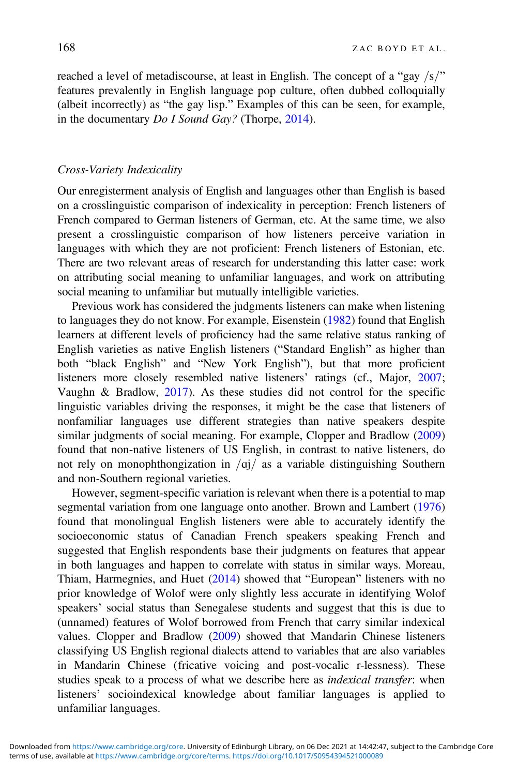reached a level of metadiscourse, at least in English. The concept of a "gay  $\frac{s}{s}$ " features prevalently in English language pop culture, often dubbed colloquially (albeit incorrectly) as "the gay lisp." Examples of this can be seen, for example, in the documentary Do I Sound Gay? (Thorpe, [2014](#page-26-0)).

#### Cross-Variety Indexicality

Our enregisterment analysis of English and languages other than English is based on a crosslinguistic comparison of indexicality in perception: French listeners of French compared to German listeners of German, etc. At the same time, we also present a crosslinguistic comparison of how listeners perceive variation in languages with which they are not proficient: French listeners of Estonian, etc. There are two relevant areas of research for understanding this latter case: work on attributing social meaning to unfamiliar languages, and work on attributing social meaning to unfamiliar but mutually intelligible varieties.

Previous work has considered the judgments listeners can make when listening to languages they do not know. For example, Eisenstein [\(1982](#page-24-0)) found that English learners at different levels of proficiency had the same relative status ranking of English varieties as native English listeners ("Standard English" as higher than both "black English" and "New York English"), but that more proficient listeners more closely resembled native listeners' ratings (cf., Major, [2007](#page-26-0); Vaughn & Bradlow, [2017](#page-27-0)). As these studies did not control for the specific linguistic variables driving the responses, it might be the case that listeners of nonfamiliar languages use different strategies than native speakers despite similar judgments of social meaning. For example, Clopper and Bradlow ([2009\)](#page-24-0) found that non-native listeners of US English, in contrast to native listeners, do not rely on monophthongization in  $\frac{qj}{a}$  as a variable distinguishing Southern and non-Southern regional varieties.

However, segment-specific variation is relevant when there is a potential to map segmental variation from one language onto another. Brown and Lambert ([1976\)](#page-24-0) found that monolingual English listeners were able to accurately identify the socioeconomic status of Canadian French speakers speaking French and suggested that English respondents base their judgments on features that appear in both languages and happen to correlate with status in similar ways. Moreau, Thiam, Harmegnies, and Huet [\(2014](#page-26-0)) showed that "European" listeners with no prior knowledge of Wolof were only slightly less accurate in identifying Wolof speakers' social status than Senegalese students and suggest that this is due to (unnamed) features of Wolof borrowed from French that carry similar indexical values. Clopper and Bradlow ([2009\)](#page-24-0) showed that Mandarin Chinese listeners classifying US English regional dialects attend to variables that are also variables in Mandarin Chinese (fricative voicing and post-vocalic r-lessness). These studies speak to a process of what we describe here as *indexical transfer*: when listeners' socioindexical knowledge about familiar languages is applied to unfamiliar languages.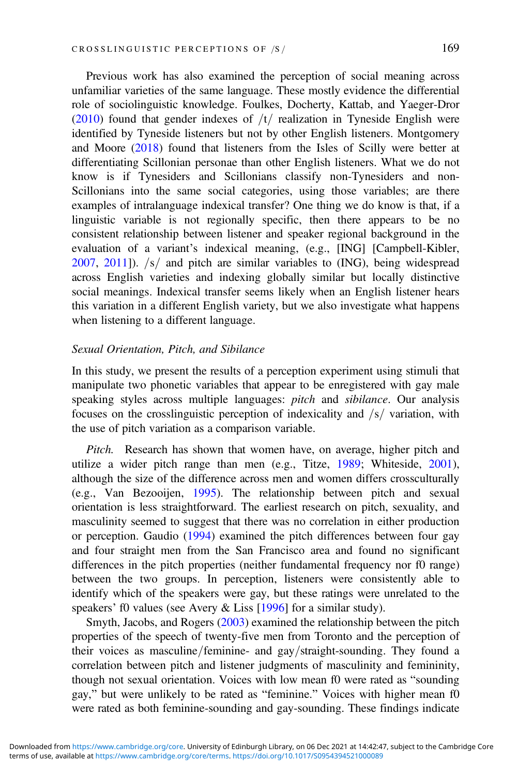Previous work has also examined the perception of social meaning across unfamiliar varieties of the same language. These mostly evidence the differential role of sociolinguistic knowledge. Foulkes, Docherty, Kattab, and Yaeger-Dror [\(2010](#page-25-0)) found that gender indexes of  $/t/$  realization in Tyneside English were identified by Tyneside listeners but not by other English listeners. Montgomery and Moore ([2018\)](#page-26-0) found that listeners from the Isles of Scilly were better at differentiating Scillonian personae than other English listeners. What we do not know is if Tynesiders and Scillonians classify non-Tynesiders and non-Scillonians into the same social categories, using those variables; are there examples of intralanguage indexical transfer? One thing we do know is that, if a linguistic variable is not regionally specific, then there appears to be no consistent relationship between listener and speaker regional background in the evaluation of a variant's indexical meaning, (e.g., [ING] [Campbell-Kibler,  $2007$ ,  $2011$ ]).  $\sqrt{s}$  and pitch are similar variables to (ING), being widespread across English varieties and indexing globally similar but locally distinctive social meanings. Indexical transfer seems likely when an English listener hears this variation in a different English variety, but we also investigate what happens when listening to a different language.

#### Sexual Orientation, Pitch, and Sibilance

In this study, we present the results of a perception experiment using stimuli that manipulate two phonetic variables that appear to be enregistered with gay male speaking styles across multiple languages: pitch and sibilance. Our analysis focuses on the crosslinguistic perception of indexicality and  $/s/$  variation, with the use of pitch variation as a comparison variable.

Pitch. Research has shown that women have, on average, higher pitch and utilize a wider pitch range than men (e.g., Titze, [1989](#page-27-0); Whiteside, [2001](#page-27-0)), although the size of the difference across men and women differs crossculturally (e.g., Van Bezooijen, [1995\)](#page-27-0). The relationship between pitch and sexual orientation is less straightforward. The earliest research on pitch, sexuality, and masculinity seemed to suggest that there was no correlation in either production or perception. Gaudio [\(1994](#page-25-0)) examined the pitch differences between four gay and four straight men from the San Francisco area and found no significant differences in the pitch properties (neither fundamental frequency nor f0 range) between the two groups. In perception, listeners were consistently able to identify which of the speakers were gay, but these ratings were unrelated to the speakers' f0 values (see Avery & Liss [[1996\]](#page-24-0) for a similar study).

Smyth, Jacobs, and Rogers ([2003\)](#page-26-0) examined the relationship between the pitch properties of the speech of twenty-five men from Toronto and the perception of their voices as masculine/feminine- and gay/straight-sounding. They found a correlation between pitch and listener judgments of masculinity and femininity, though not sexual orientation. Voices with low mean f0 were rated as "sounding gay," but were unlikely to be rated as "feminine." Voices with higher mean f0 were rated as both feminine-sounding and gay-sounding. These findings indicate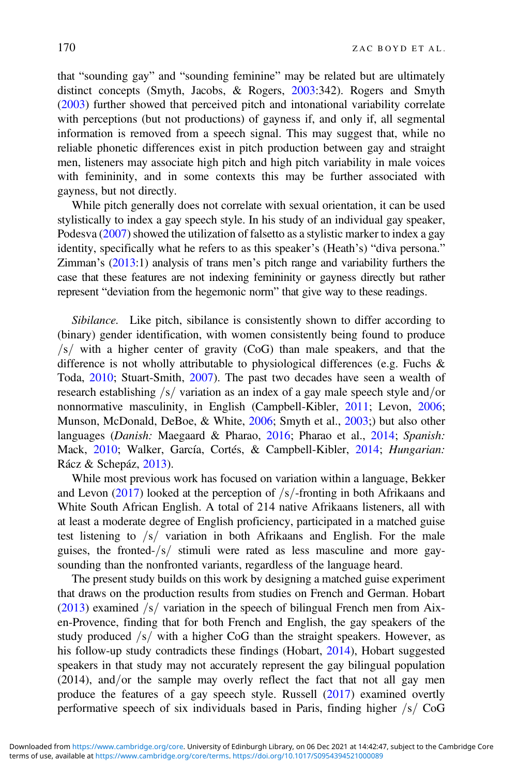that "sounding gay" and "sounding feminine" may be related but are ultimately distinct concepts (Smyth, Jacobs, & Rogers, [2003:](#page-26-0)342). Rogers and Smyth [\(2003](#page-26-0)) further showed that perceived pitch and intonational variability correlate with perceptions (but not productions) of gayness if, and only if, all segmental information is removed from a speech signal. This may suggest that, while no reliable phonetic differences exist in pitch production between gay and straight men, listeners may associate high pitch and high pitch variability in male voices with femininity, and in some contexts this may be further associated with gayness, but not directly.

While pitch generally does not correlate with sexual orientation, it can be used stylistically to index a gay speech style. In his study of an individual gay speaker, Podesva [\(2007](#page-26-0)) showed the utilization of falsetto as a stylistic marker to index a gay identity, specifically what he refers to as this speaker's (Heath's) "diva persona." Zimman's [\(2013](#page-27-0):1) analysis of trans men's pitch range and variability furthers the case that these features are not indexing femininity or gayness directly but rather represent "deviation from the hegemonic norm" that give way to these readings.

Sibilance. Like pitch, sibilance is consistently shown to differ according to (binary) gender identification, with women consistently being found to produce  $\sqrt{s}$  with a higher center of gravity (CoG) than male speakers, and that the difference is not wholly attributable to physiological differences (e.g. Fuchs & Toda, [2010;](#page-25-0) Stuart-Smith, [2007](#page-26-0)). The past two decades have seen a wealth of research establishing  $/s/$  variation as an index of a gay male speech style and/or nonnormative masculinity, in English (Campbell-Kibler, [2011](#page-24-0); Levon, [2006](#page-25-0); Munson, McDonald, DeBoe, & White, [2006;](#page-26-0) Smyth et al., [2003;](#page-26-0)) but also other languages (Danish: Maegaard & Pharao, [2016;](#page-26-0) Pharao et al., [2014;](#page-26-0) Spanish: Mack, [2010](#page-25-0); Walker, García, Cortés, & Campbell-Kibler, [2014](#page-27-0); Hungarian: Rácz & Schepáz, [2013\)](#page-26-0).

While most previous work has focused on variation within a language, Bekker and Levon ([2017\)](#page-24-0) looked at the perception of  $/s$ -fronting in both Afrikaans and White South African English. A total of 214 native Afrikaans listeners, all with at least a moderate degree of English proficiency, participated in a matched guise test listening to  $\sqrt{s}$  variation in both Afrikaans and English. For the male guises, the fronted- $\sqrt{s}$  stimuli were rated as less masculine and more gaysounding than the nonfronted variants, regardless of the language heard.

The present study builds on this work by designing a matched guise experiment that draws on the production results from studies on French and German. Hobart [\(2013](#page-25-0)) examined  $\frac{1}{s}$  variation in the speech of bilingual French men from Aixen-Provence, finding that for both French and English, the gay speakers of the study produced  $\sqrt{s}$  with a higher CoG than the straight speakers. However, as his follow-up study contradicts these findings (Hobart, [2014\)](#page-25-0), Hobart suggested speakers in that study may not accurately represent the gay bilingual population  $(2014)$ , and/or the sample may overly reflect the fact that not all gay men produce the features of a gay speech style. Russell [\(2017](#page-26-0)) examined overtly performative speech of six individuals based in Paris, finding higher  $/s / \text{CoG}$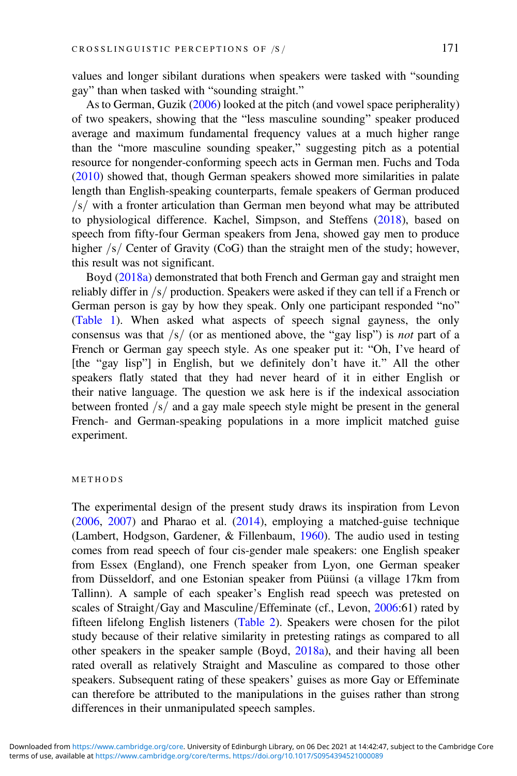values and longer sibilant durations when speakers were tasked with "sounding gay" than when tasked with "sounding straight."

As to German, Guzik [\(2006](#page-25-0)) looked at the pitch (and vowel space peripherality) of two speakers, showing that the "less masculine sounding" speaker produced average and maximum fundamental frequency values at a much higher range than the "more masculine sounding speaker," suggesting pitch as a potential resource for nongender-conforming speech acts in German men. Fuchs and Toda [\(2010](#page-25-0)) showed that, though German speakers showed more similarities in palate length than English-speaking counterparts, female speakers of German produced  $\sqrt{s}$  with a fronter articulation than German men beyond what may be attributed to physiological difference. Kachel, Simpson, and Steffens ([2018\)](#page-25-0), based on speech from fifty-four German speakers from Jena, showed gay men to produce higher  $\sqrt{s}$  Center of Gravity (CoG) than the straight men of the study; however, this result was not significant.

Boyd [\(2018a\)](#page-24-0) demonstrated that both French and German gay and straight men reliably differ in  $/s/$  production. Speakers were asked if they can tell if a French or German person is gay by how they speak. Only one participant responded "no" [\(Table 1](#page-8-0)). When asked what aspects of speech signal gayness, the only consensus was that  $\frac{s}{s}$  (or as mentioned above, the "gay lisp") is not part of a French or German gay speech style. As one speaker put it: "Oh, I've heard of [the "gay lisp"] in English, but we definitely don't have it." All the other speakers flatly stated that they had never heard of it in either English or their native language. The question we ask here is if the indexical association between fronted  $\sqrt{s}$  and a gay male speech style might be present in the general French- and German-speaking populations in a more implicit matched guise experiment.

#### METHODS

The experimental design of the present study draws its inspiration from Levon [\(2006](#page-25-0), [2007](#page-25-0)) and Pharao et al. [\(2014](#page-26-0)), employing a matched-guise technique (Lambert, Hodgson, Gardener, & Fillenbaum, [1960\)](#page-25-0). The audio used in testing comes from read speech of four cis-gender male speakers: one English speaker from Essex (England), one French speaker from Lyon, one German speaker from Düsseldorf, and one Estonian speaker from Püünsi (a village 17km from Tallinn). A sample of each speaker's English read speech was pretested on scales of Straight/Gay and Masculine/Effeminate (cf., Levon, [2006:](#page-25-0)61) rated by fifteen lifelong English listeners ([Table 2](#page-9-0)). Speakers were chosen for the pilot study because of their relative similarity in pretesting ratings as compared to all other speakers in the speaker sample (Boyd, [2018a\)](#page-24-0), and their having all been rated overall as relatively Straight and Masculine as compared to those other speakers. Subsequent rating of these speakers' guises as more Gay or Effeminate can therefore be attributed to the manipulations in the guises rather than strong differences in their unmanipulated speech samples.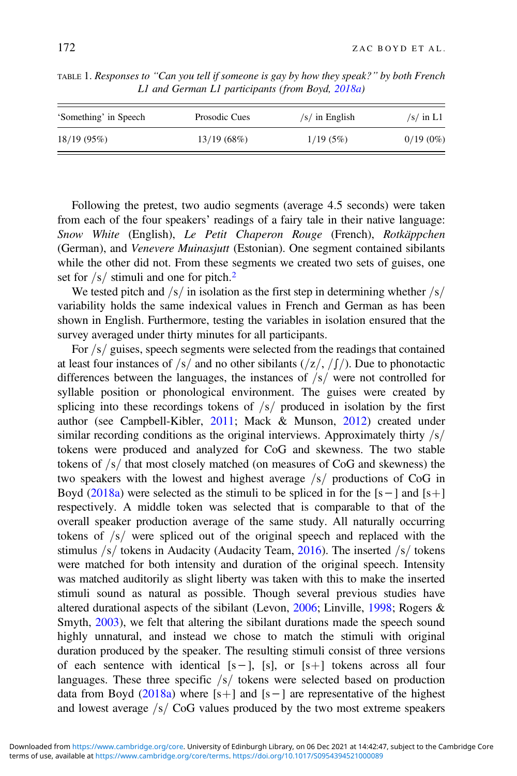| 'Something' in Speech | Prosodic Cues | $\sqrt{s}$ in English | $\sqrt{s}$ in L1 |
|-----------------------|---------------|-----------------------|------------------|
| 18/19(95%)            | 13/19(68%)    | 1/19(5%)              | $0/19(0\%)$      |

<span id="page-8-0"></span>TABLE 1. Responses to "Can you tell if someone is gay by how they speak?" by both French L1 and German L1 participants (from Boyd, [2018a\)](#page-24-0)

Following the pretest, two audio segments (average 4.5 seconds) were taken from each of the four speakers' readings of a fairy tale in their native language: Snow White (English), Le Petit Chaperon Rouge (French), Rotkäppchen (German), and Venevere Muinasjutt (Estonian). One segment contained sibilants while the other did not. From these segments we created two sets of guises, one set for  $\sqrt{s}$  stimuli and one for pitch.<sup>[2](#page-23-0)</sup>

We tested pitch and  $/s/$  in isolation as the first step in determining whether  $/s/$ variability holds the same indexical values in French and German as has been shown in English. Furthermore, testing the variables in isolation ensured that the survey averaged under thirty minutes for all participants.

For  $\frac{s}{g}$  guises, speech segments were selected from the readings that contained at least four instances of  $\frac{1}{s}$  and no other sibilants  $\frac{1}{z}$ ,  $\frac{1}{s}$ . Due to phonotactic differences between the languages, the instances of  $\frac{s}{s}$  were not controlled for syllable position or phonological environment. The guises were created by splicing into these recordings tokens of  $\frac{s}{r}$  produced in isolation by the first author (see Campbell-Kibler, [2011;](#page-24-0) Mack & Munson, [2012\)](#page-25-0) created under similar recording conditions as the original interviews. Approximately thirty  $\frac{s}{s}$ tokens were produced and analyzed for CoG and skewness. The two stable tokens of  $\frac{s}{s}$  that most closely matched (on measures of CoG and skewness) the two speakers with the lowest and highest average  $\sqrt{s}$  productions of CoG in Boyd ([2018a](#page-24-0)) were selected as the stimuli to be spliced in for the  $[s-]$  and  $[s+]$ respectively. A middle token was selected that is comparable to that of the overall speaker production average of the same study. All naturally occurring tokens of  $\sqrt{s}$  were spliced out of the original speech and replaced with the stimulus  $/s/$  tokens in Audacity (Audacity Team, [2016\)](#page-24-0). The inserted  $/s/$  tokens were matched for both intensity and duration of the original speech. Intensity was matched auditorily as slight liberty was taken with this to make the inserted stimuli sound as natural as possible. Though several previous studies have altered durational aspects of the sibilant (Levon, [2006;](#page-25-0) Linville, [1998;](#page-25-0) Rogers & Smyth, [2003\)](#page-26-0), we felt that altering the sibilant durations made the speech sound highly unnatural, and instead we chose to match the stimuli with original duration produced by the speaker. The resulting stimuli consist of three versions of each sentence with identical  $[s-]$ ,  $[s]$ , or  $[s+]$  tokens across all four languages. These three specific  $/s/$  tokens were selected based on production data from Boyd ([2018a](#page-24-0)) where  $[s+]$  and  $[s]$  are representative of the highest and lowest average  $\frac{s}{\sqrt{C}}$  CoG values produced by the two most extreme speakers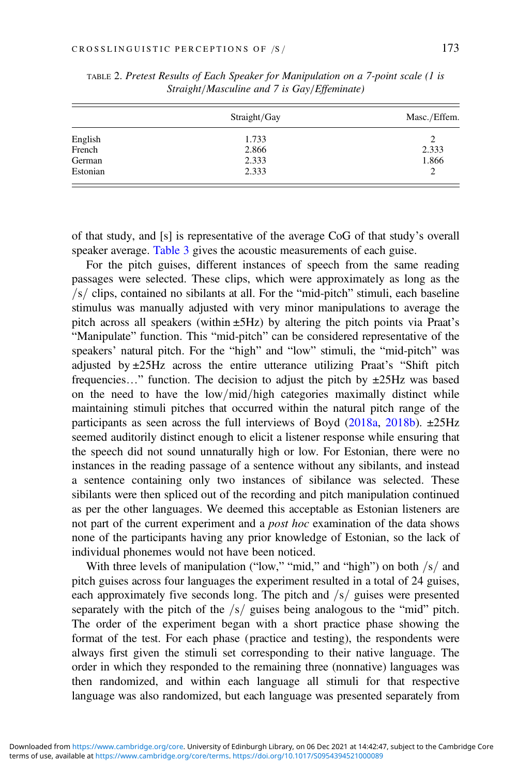|          | Straight/Gay | Masc./Effem. |  |
|----------|--------------|--------------|--|
| English  | 1.733        | 2            |  |
| French   | 2.866        | 2.333        |  |
| German   | 2.333        | 1.866        |  |
| Estonian | 2.333        | 2            |  |

<span id="page-9-0"></span>TABLE 2. Pretest Results of Each Speaker for Manipulation on a 7-point scale (1 is Straight/Masculine and 7 is Gay/Effeminate)

of that study, and [s] is representative of the average CoG of that study's overall speaker average. [Table 3](#page-10-0) gives the acoustic measurements of each guise.

For the pitch guises, different instances of speech from the same reading passages were selected. These clips, which were approximately as long as the  $\sqrt{s}$  clips, contained no sibilants at all. For the "mid-pitch" stimuli, each baseline stimulus was manually adjusted with very minor manipulations to average the pitch across all speakers (within ±5Hz) by altering the pitch points via Praat's "Manipulate" function. This "mid-pitch" can be considered representative of the speakers' natural pitch. For the "high" and "low" stimuli, the "mid-pitch" was adjusted by  $\pm 25$ Hz across the entire utterance utilizing Praat's "Shift pitch frequencies..." function. The decision to adjust the pitch by  $\pm$ 25Hz was based on the need to have the  $low/mid/high$  categories maximally distinct while maintaining stimuli pitches that occurred within the natural pitch range of the participants as seen across the full interviews of Boyd [\(2018a,](#page-24-0) [2018b](#page-24-0)).  $\pm$ 25Hz seemed auditorily distinct enough to elicit a listener response while ensuring that the speech did not sound unnaturally high or low. For Estonian, there were no instances in the reading passage of a sentence without any sibilants, and instead a sentence containing only two instances of sibilance was selected. These sibilants were then spliced out of the recording and pitch manipulation continued as per the other languages. We deemed this acceptable as Estonian listeners are not part of the current experiment and a post hoc examination of the data shows none of the participants having any prior knowledge of Estonian, so the lack of individual phonemes would not have been noticed.

With three levels of manipulation ("low," "mid," and "high") on both  $/s/$  and pitch guises across four languages the experiment resulted in a total of 24 guises, each approximately five seconds long. The pitch and  $\frac{s}{\sin \theta}$  guises were presented separately with the pitch of the  $\frac{s}{\sqrt{s}}$  guises being analogous to the "mid" pitch. The order of the experiment began with a short practice phase showing the format of the test. For each phase (practice and testing), the respondents were always first given the stimuli set corresponding to their native language. The order in which they responded to the remaining three (nonnative) languages was then randomized, and within each language all stimuli for that respective language was also randomized, but each language was presented separately from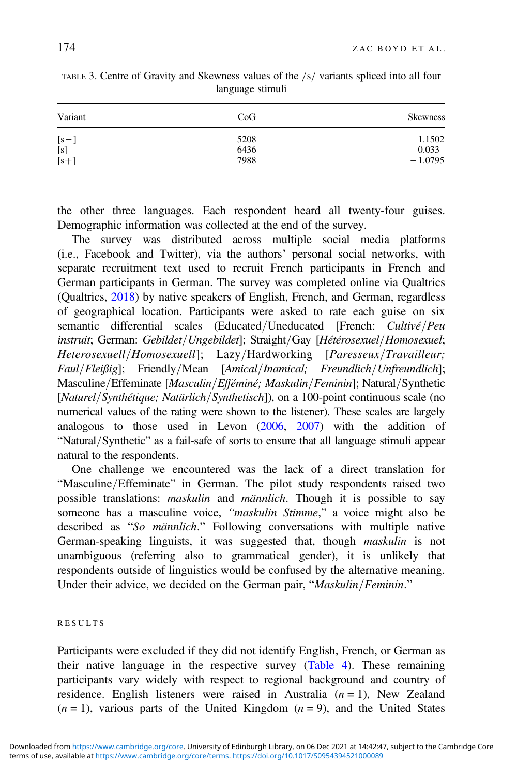| Variant | CoG  | <b>Skewness</b> |
|---------|------|-----------------|
| $[s-]$  | 5208 | 1.1502          |
| $[s]$   | 6436 | 0.033           |
| $[s+]$  | 7988 | $-1.0795$       |

<span id="page-10-0"></span>TABLE 3. Centre of Gravity and Skewness values of the /s/ variants spliced into all four language stimuli

the other three languages. Each respondent heard all twenty-four guises. Demographic information was collected at the end of the survey.

The survey was distributed across multiple social media platforms (i.e., Facebook and Twitter), via the authors' personal social networks, with separate recruitment text used to recruit French participants in French and German participants in German. The survey was completed online via Qualtrics (Qualtrics, [2018\)](#page-26-0) by native speakers of English, French, and German, regardless of geographical location. Participants were asked to rate each guise on six semantic differential scales (Educated/Uneducated [French: Cultivé/Peu instruit; German: Gebildet/Ungebildet]; Straight/Gay [Hétérosexuel/Homosexuel; Heterosexuell/Homosexuell]; Lazy/Hardworking [Paresseux/Travailleur;  $Faul/Flei\beta ig$ ; Friendly/Mean [Amical/Inamical; Freundlich/Unfreundlich]; Masculine/Effeminate [Masculin/Efféminé; Maskulin/Feminin]; Natural/Synthetic  $[Natural/Synthétique; National/Synthetsch]$ , on a 100-point continuous scale (no numerical values of the rating were shown to the listener). These scales are largely analogous to those used in Levon ([2006,](#page-25-0) [2007](#page-25-0)) with the addition of "Natural/Synthetic" as a fail-safe of sorts to ensure that all language stimuli appear natural to the respondents.

One challenge we encountered was the lack of a direct translation for "Masculine/Effeminate" in German. The pilot study respondents raised two possible translations: maskulin and männlich. Though it is possible to say someone has a masculine voice, "maskulin Stimme," a voice might also be described as "So männlich." Following conversations with multiple native German-speaking linguists, it was suggested that, though maskulin is not unambiguous (referring also to grammatical gender), it is unlikely that respondents outside of linguistics would be confused by the alternative meaning. Under their advice, we decided on the German pair, "Maskulin/Feminin."

#### RESULTS

Participants were excluded if they did not identify English, French, or German as their native language in the respective survey [\(Table 4](#page-11-0)). These remaining participants vary widely with respect to regional background and country of residence. English listeners were raised in Australia  $(n = 1)$ , New Zealand  $(n = 1)$ , various parts of the United Kingdom  $(n = 9)$ , and the United States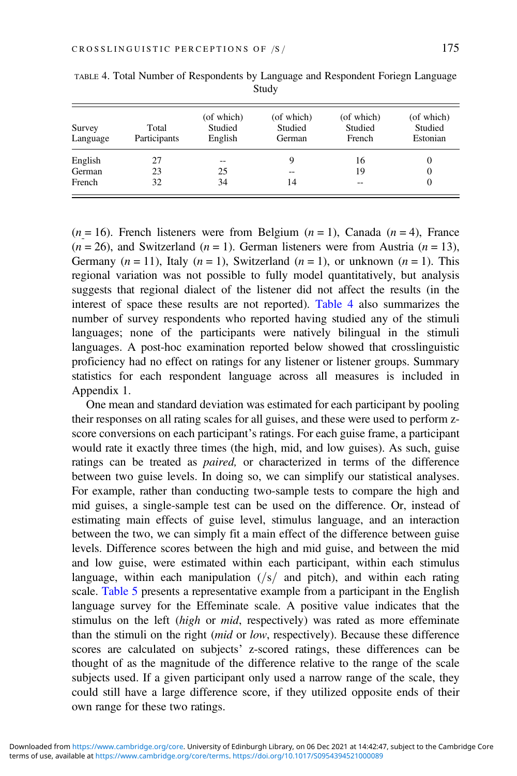| Survey<br>Language | Total<br>Participants | (of which)<br>Studied<br>English | (of which)<br>Studied<br>German | (of which)<br>Studied<br>French | (of which)<br>Studied<br>Estonian |
|--------------------|-----------------------|----------------------------------|---------------------------------|---------------------------------|-----------------------------------|
| English            | 27                    | --                               | 9                               | 16                              |                                   |
| German             | 23                    | 25                               | $- -$                           | 19                              |                                   |
| French             | 32                    | 34                               | 14                              | --                              |                                   |

<span id="page-11-0"></span>TABLE 4. Total Number of Respondents by Language and Respondent Foriegn Language Study

 $(n = 16)$ . French listeners were from Belgium  $(n = 1)$ , Canada  $(n = 4)$ , France  $(n = 26)$ , and Switzerland  $(n = 1)$ . German listeners were from Austria  $(n = 13)$ , Germany  $(n = 11)$ , Italy  $(n = 1)$ , Switzerland  $(n = 1)$ , or unknown  $(n = 1)$ . This regional variation was not possible to fully model quantitatively, but analysis suggests that regional dialect of the listener did not affect the results (in the interest of space these results are not reported). Table 4 also summarizes the number of survey respondents who reported having studied any of the stimuli languages; none of the participants were natively bilingual in the stimuli languages. A post-hoc examination reported below showed that crosslinguistic proficiency had no effect on ratings for any listener or listener groups. Summary statistics for each respondent language across all measures is included in Appendix 1.

One mean and standard deviation was estimated for each participant by pooling their responses on all rating scales for all guises, and these were used to perform zscore conversions on each participant's ratings. For each guise frame, a participant would rate it exactly three times (the high, mid, and low guises). As such, guise ratings can be treated as paired, or characterized in terms of the difference between two guise levels. In doing so, we can simplify our statistical analyses. For example, rather than conducting two-sample tests to compare the high and mid guises, a single-sample test can be used on the difference. Or, instead of estimating main effects of guise level, stimulus language, and an interaction between the two, we can simply fit a main effect of the difference between guise levels. Difference scores between the high and mid guise, and between the mid and low guise, were estimated within each participant, within each stimulus language, within each manipulation  $\left(\frac{s}{n}\right)$  and pitch), and within each rating scale. [Table 5](#page-12-0) presents a representative example from a participant in the English language survey for the Effeminate scale. A positive value indicates that the stimulus on the left (high or mid, respectively) was rated as more effeminate than the stimuli on the right (mid or low, respectively). Because these difference scores are calculated on subjects' z-scored ratings, these differences can be thought of as the magnitude of the difference relative to the range of the scale subjects used. If a given participant only used a narrow range of the scale, they could still have a large difference score, if they utilized opposite ends of their own range for these two ratings.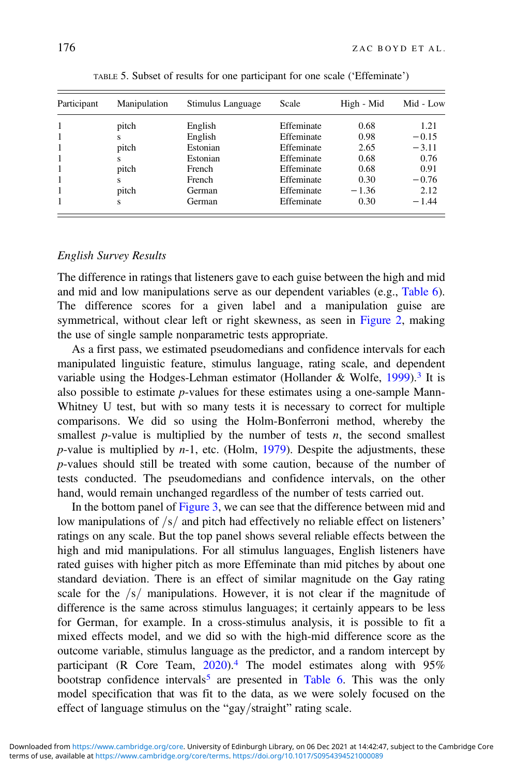<span id="page-12-0"></span>

| Participant | Manipulation | Stimulus Language | Scale      | High - Mid | Mid - Low |
|-------------|--------------|-------------------|------------|------------|-----------|
| 1           | pitch        | English           | Effeminate | 0.68       | 1.21      |
| 1           | s            | English           | Effeminate | 0.98       | $-0.15$   |
| 1           | pitch        | Estonian          | Effeminate | 2.65       | $-3.11$   |
| 1           | s            | Estonian          | Effeminate | 0.68       | 0.76      |
| 1           | pitch        | French            | Effeminate | 0.68       | 0.91      |
| 1           | s            | French            | Effeminate | 0.30       | $-0.76$   |
|             | pitch        | German            | Effeminate | $-1.36$    | 2.12      |
| 1           | S            | German            | Effeminate | 0.30       | $-1.44$   |

TABLE 5. Subset of results for one participant for one scale ('Effeminate')

#### English Survey Results

The difference in ratings that listeners gave to each guise between the high and mid and mid and low manipulations serve as our dependent variables (e.g., [Table 6](#page-13-0)). The difference scores for a given label and a manipulation guise are symmetrical, without clear left or right skewness, as seen in [Figure 2,](#page-14-0) making the use of single sample nonparametric tests appropriate.

As a first pass, we estimated pseudomedians and confidence intervals for each manipulated linguistic feature, stimulus language, rating scale, and dependent variable using the Hodges-Lehman estimator (Hollander & Wolfe,  $1999$ ).<sup>[3](#page-23-0)</sup> It is also possible to estimate p-values for these estimates using a one-sample Mann-Whitney U test, but with so many tests it is necessary to correct for multiple comparisons. We did so using the Holm-Bonferroni method, whereby the smallest  $p$ -value is multiplied by the number of tests  $n$ , the second smallest  $p$ -value is multiplied by  $n-1$ , etc. (Holm, [1979](#page-25-0)). Despite the adjustments, these p-values should still be treated with some caution, because of the number of tests conducted. The pseudomedians and confidence intervals, on the other hand, would remain unchanged regardless of the number of tests carried out.

In the bottom panel of [Figure 3](#page-15-0), we can see that the difference between mid and low manipulations of  $\frac{s}{a}$  and pitch had effectively no reliable effect on listeners' ratings on any scale. But the top panel shows several reliable effects between the high and mid manipulations. For all stimulus languages, English listeners have rated guises with higher pitch as more Effeminate than mid pitches by about one standard deviation. There is an effect of similar magnitude on the Gay rating scale for the  $/s/$  manipulations. However, it is not clear if the magnitude of difference is the same across stimulus languages; it certainly appears to be less for German, for example. In a cross-stimulus analysis, it is possible to fit a mixed effects model, and we did so with the high-mid difference score as the outcome variable, stimulus language as the predictor, and a random intercept by participant (R Core Team, [2020\)](#page-26-0).<sup>[4](#page-23-0)</sup> The model estimates along with 95% bootstrap confidence intervals<sup>[5](#page-23-0)</sup> are presented in [Table 6](#page-13-0). This was the only model specification that was fit to the data, as we were solely focused on the effect of language stimulus on the "gay/straight" rating scale.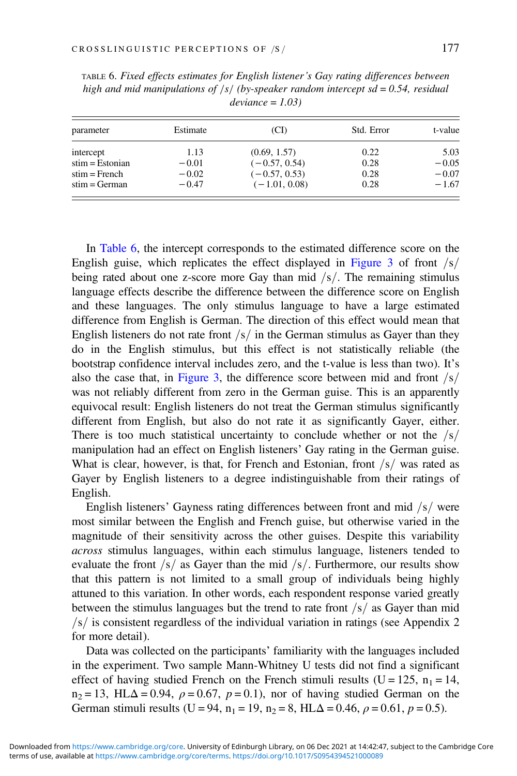| parameter         | Estimate | (CI)            | Std. Error | t-value |
|-------------------|----------|-----------------|------------|---------|
| intercept         | 1.13     | (0.69, 1.57)    | 0.22       | 5.03    |
| $stim = Estonian$ | $-0.01$  | $(-0.57, 0.54)$ | 0.28       | $-0.05$ |
| $stim = French$   | $-0.02$  | $(-0.57, 0.53)$ | 0.28       | $-0.07$ |
| $stim = German$   | $-0.47$  | $(-1.01, 0.08)$ | 0.28       | $-1.67$ |

<span id="page-13-0"></span>TABLE 6. Fixed effects estimates for English listener's Gay rating differences between high and mid manipulations of  $\frac{|s|}{\text{by-speaker}}$  random intercept sd = 0.54, residual  $deviance = 1.03$ 

In Table 6, the intercept corresponds to the estimated difference score on the English guise, which replicates the effect displayed in [Figure 3](#page-15-0) of front  $\frac{s}{s}$ being rated about one z-score more Gay than mid  $\frac{s}{$ . The remaining stimulus language effects describe the difference between the difference score on English and these languages. The only stimulus language to have a large estimated difference from English is German. The direction of this effect would mean that English listeners do not rate front  $/s/$  in the German stimulus as Gayer than they do in the English stimulus, but this effect is not statistically reliable (the bootstrap confidence interval includes zero, and the t-value is less than two). It's also the case that, in [Figure 3](#page-15-0), the difference score between mid and front  $\frac{s}{s}$ was not reliably different from zero in the German guise. This is an apparently equivocal result: English listeners do not treat the German stimulus significantly different from English, but also do not rate it as significantly Gayer, either. There is too much statistical uncertainty to conclude whether or not the  $/s/$ manipulation had an effect on English listeners' Gay rating in the German guise. What is clear, however, is that, for French and Estonian, front  $\frac{s}{m}$  was rated as Gayer by English listeners to a degree indistinguishable from their ratings of English.

English listeners' Gayness rating differences between front and mid  $\frac{s}{s}$  were most similar between the English and French guise, but otherwise varied in the magnitude of their sensitivity across the other guises. Despite this variability across stimulus languages, within each stimulus language, listeners tended to evaluate the front  $\frac{s}{s}$  as Gayer than the mid  $\frac{s}{s}$ . Furthermore, our results show that this pattern is not limited to a small group of individuals being highly attuned to this variation. In other words, each respondent response varied greatly between the stimulus languages but the trend to rate front  $\frac{s}{s}$  as Gayer than mid  $\sqrt{s}$  is consistent regardless of the individual variation in ratings (see Appendix 2) for more detail).

Data was collected on the participants' familiarity with the languages included in the experiment. Two sample Mann-Whitney U tests did not find a significant effect of having studied French on the French stimuli results (U = 125,  $n_1 = 14$ ,  $n_2 = 13$ , HL $\Delta = 0.94$ ,  $\rho = 0.67$ ,  $p = 0.1$ ), nor of having studied German on the German stimuli results (U = 94, n<sub>1</sub> = 19, n<sub>2</sub> = 8, HL $\Delta$  = 0.46,  $\rho$  = 0.61, p = 0.5).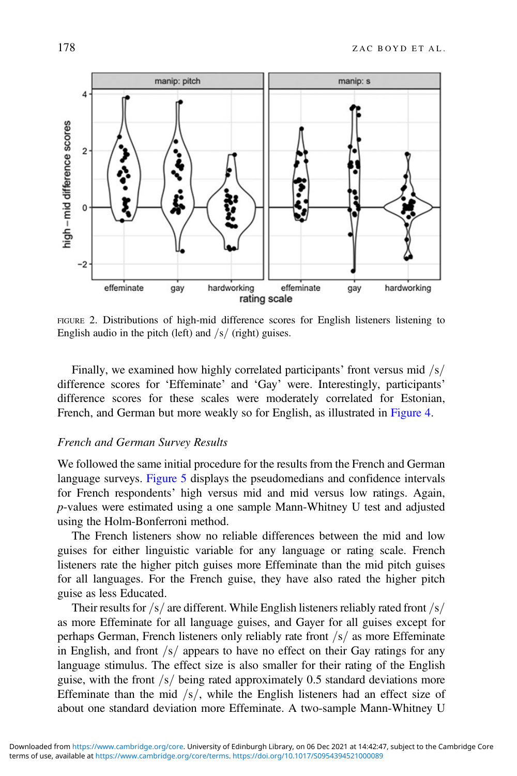<span id="page-14-0"></span>

FIGURE 2. Distributions of high-mid difference scores for English listeners listening to English audio in the pitch (left) and  $\frac{s}{r}$  (right) guises.

Finally, we examined how highly correlated participants' front versus mid  $\frac{s}{s}$ difference scores for 'Effeminate' and 'Gay' were. Interestingly, participants' difference scores for these scales were moderately correlated for Estonian, French, and German but more weakly so for English, as illustrated in [Figure 4](#page-16-0).

#### French and German Survey Results

We followed the same initial procedure for the results from the French and German language surveys. [Figure 5](#page-17-0) displays the pseudomedians and confidence intervals for French respondents' high versus mid and mid versus low ratings. Again, p-values were estimated using a one sample Mann-Whitney U test and adjusted using the Holm-Bonferroni method.

The French listeners show no reliable differences between the mid and low guises for either linguistic variable for any language or rating scale. French listeners rate the higher pitch guises more Effeminate than the mid pitch guises for all languages. For the French guise, they have also rated the higher pitch guise as less Educated.

Their results for  $/s/$  are different. While English listeners reliably rated front  $/s/$ as more Effeminate for all language guises, and Gayer for all guises except for perhaps German, French listeners only reliably rate front  $/s/$  as more Effeminate in English, and front  $\sqrt{s}$  appears to have no effect on their Gay ratings for any language stimulus. The effect size is also smaller for their rating of the English guise, with the front  $\frac{s}{\omega}$  being rated approximately 0.5 standard deviations more Effeminate than the mid  $\frac{s}{s}$ , while the English listeners had an effect size of about one standard deviation more Effeminate. A two-sample Mann-Whitney U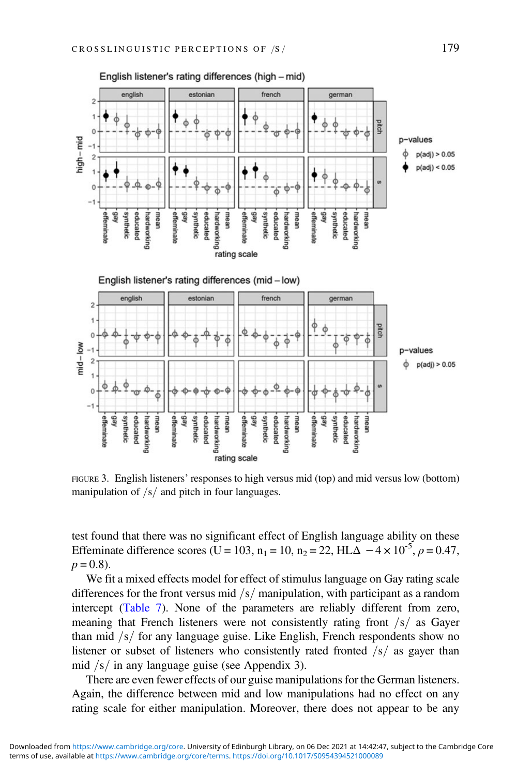<span id="page-15-0"></span>

FIGURE 3. English listeners' responses to high versus mid (top) and mid versus low (bottom) manipulation of  $/s/$  and pitch in four languages.

test found that there was no significant effect of English language ability on these Effeminate difference scores (U = 103, n<sub>1</sub> = 10, n<sub>2</sub> = 22, HL $\Delta$  -4 × 10<sup>-5</sup>,  $\rho$  = 0.47,  $p = 0.8$ ).

We fit a mixed effects model for effect of stimulus language on Gay rating scale differences for the front versus mid  $/s/$  manipulation, with participant as a random intercept ([Table 7](#page-17-0)). None of the parameters are reliably different from zero, meaning that French listeners were not consistently rating front  $\sqrt{s}$  as Gayer than mid  $\frac{s}{s}$  for any language guise. Like English, French respondents show no listener or subset of listeners who consistently rated fronted  $\frac{s}{s}$  as gayer than mid  $/s/$  in any language guise (see Appendix 3).

There are even fewer effects of our guise manipulations for the German listeners. Again, the difference between mid and low manipulations had no effect on any rating scale for either manipulation. Moreover, there does not appear to be any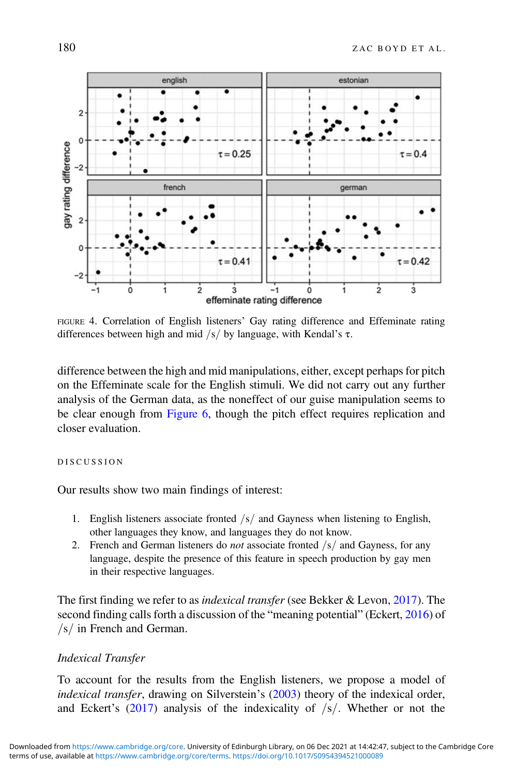<span id="page-16-0"></span>

FIGURE 4. Correlation of English listeners' Gay rating difference and Effeminate rating differences between high and mid /s/ by language, with Kendal's  $\tau$ .

difference between the high and mid manipulations, either, except perhaps for pitch on the Effeminate scale for the English stimuli. We did not carry out any further analysis of the German data, as the noneffect of our guise manipulation seems to be clear enough from [Figure 6,](#page-18-0) though the pitch effect requires replication and closer evaluation.

#### DISCUSSION

Our results show two main findings of interest:

- 1. English listeners associate fronted  $\frac{s}{n}$  and Gayness when listening to English, other languages they know, and languages they do not know.
- 2. French and German listeners do *not* associate fronted  $\frac{s}{a}$  and Gayness, for any language, despite the presence of this feature in speech production by gay men in their respective languages.

The first finding we refer to as indexical transfer (see Bekker & Levon, [2017\)](#page-24-0). The second finding calls forth a discussion of the "meaning potential" (Eckert, [2016\)](#page-24-0) of  $\sqrt{s}$  in French and German.

#### Indexical Transfer

To account for the results from the English listeners, we propose a model of indexical transfer, drawing on Silverstein's ([2003\)](#page-26-0) theory of the indexical order, and Eckert's  $(2017)$  $(2017)$  analysis of the indexicality of  $\frac{s}{s}$ . Whether or not the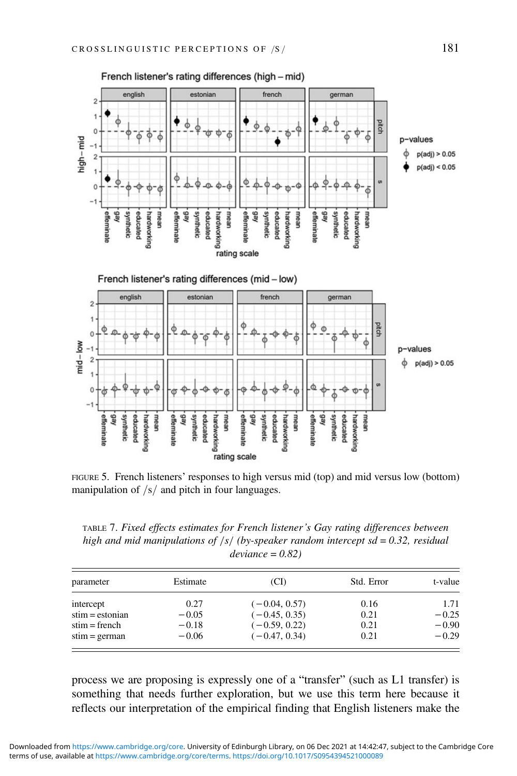<span id="page-17-0"></span>

FIGURE 5. French listeners' responses to high versus mid (top) and mid versus low (bottom) manipulation of  $/s/$  and pitch in four languages.

TABLE 7. Fixed effects estimates for French listener's Gay rating differences between high and mid manipulations of  $|s|$  (by-speaker random intercept sd = 0.32, residual  $deviance = 0.82$ 

| parameter         | Estimate | (CI)            | Std. Error | t-value |
|-------------------|----------|-----------------|------------|---------|
| intercept         | 0.27     | $(-0.04, 0.57)$ | 0.16       | 1.71    |
| $stim = estonian$ | $-0.05$  | $(-0.45, 0.35)$ | 0.21       | $-0.25$ |
| $stim = French$   | $-0.18$  | $(-0.59, 0.22)$ | 0.21       | $-0.90$ |
| $stim = german$   | $-0.06$  | $(-0.47, 0.34)$ | 0.21       | $-0.29$ |

process we are proposing is expressly one of a "transfer" (such as L1 transfer) is something that needs further exploration, but we use this term here because it reflects our interpretation of the empirical finding that English listeners make the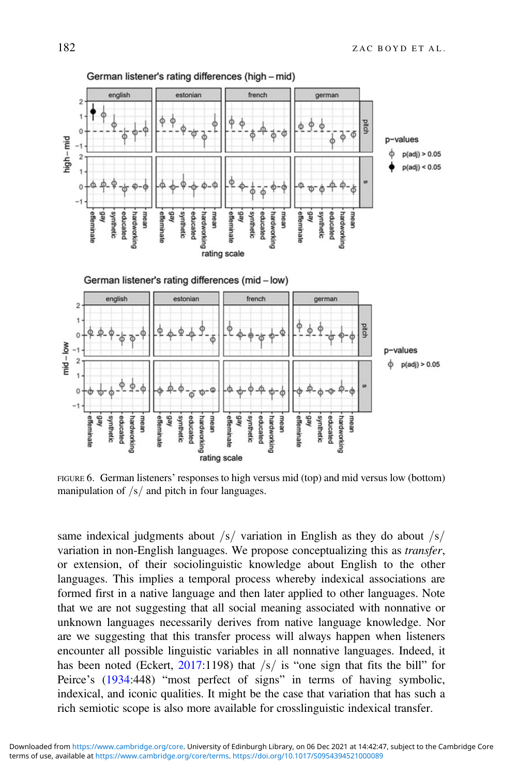<span id="page-18-0"></span>

FIGURE 6. German listeners' responses to high versus mid (top) and mid versus low (bottom) manipulation of  $/s/$  and pitch in four languages.

same indexical judgments about  $\frac{s}{r}$  variation in English as they do about  $\frac{s}{r}$ variation in non-English languages. We propose conceptualizing this as transfer, or extension, of their sociolinguistic knowledge about English to the other languages. This implies a temporal process whereby indexical associations are formed first in a native language and then later applied to other languages. Note that we are not suggesting that all social meaning associated with nonnative or unknown languages necessarily derives from native language knowledge. Nor are we suggesting that this transfer process will always happen when listeners encounter all possible linguistic variables in all nonnative languages. Indeed, it has been noted (Eckert,  $2017:1198$  $2017:1198$ ) that  $\sqrt{s}$  is "one sign that fits the bill" for Peirce's ([1934:](#page-26-0)448) "most perfect of signs" in terms of having symbolic, indexical, and iconic qualities. It might be the case that variation that has such a rich semiotic scope is also more available for crosslinguistic indexical transfer.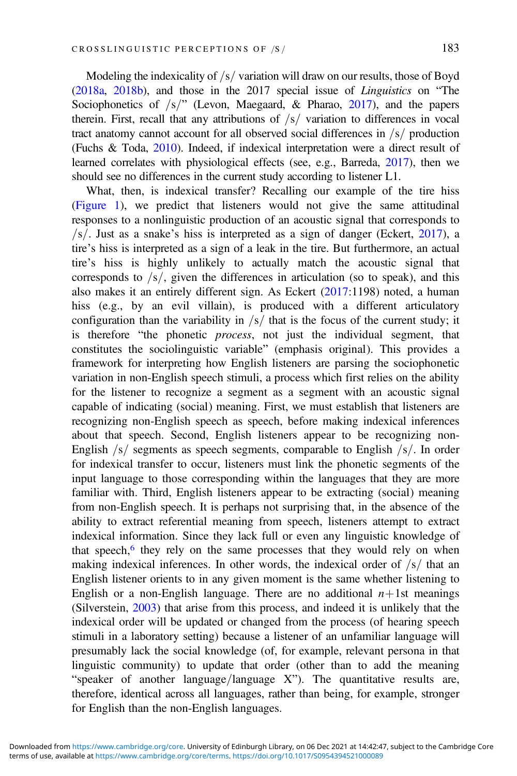Modeling the indexicality of  $\frac{s}{s}$  variation will draw on our results, those of Boyd [\(2018a](#page-24-0), [2018b](#page-24-0)), and those in the 2017 special issue of Linguistics on "The Sociophonetics of  $/s="$  (Levon, Maegaard, & Pharao, [2017](#page-25-0)), and the papers therein. First, recall that any attributions of  $\sqrt{s}$  variation to differences in vocal tract anatomy cannot account for all observed social differences in  $/s/$  production (Fuchs & Toda, [2010\)](#page-25-0). Indeed, if indexical interpretation were a direct result of learned correlates with physiological effects (see, e.g., Barreda, [2017\)](#page-24-0), then we should see no differences in the current study according to listener L1.

What, then, is indexical transfer? Recalling our example of the tire hiss [\(Figure 1](#page-2-0)), we predict that listeners would not give the same attitudinal responses to a nonlinguistic production of an acoustic signal that corresponds to  $\sqrt{s}$ . Just as a snake's hiss is interpreted as a sign of danger (Eckert, [2017\)](#page-24-0), a tire's hiss is interpreted as a sign of a leak in the tire. But furthermore, an actual tire's hiss is highly unlikely to actually match the acoustic signal that corresponds to  $\frac{s}{s}$ , given the differences in articulation (so to speak), and this also makes it an entirely different sign. As Eckert [\(2017](#page-24-0):1198) noted, a human hiss (e.g., by an evil villain), is produced with a different articulatory configuration than the variability in  $/s/$  that is the focus of the current study; it is therefore "the phonetic process, not just the individual segment, that constitutes the sociolinguistic variable" (emphasis original). This provides a framework for interpreting how English listeners are parsing the sociophonetic variation in non-English speech stimuli, a process which first relies on the ability for the listener to recognize a segment as a segment with an acoustic signal capable of indicating (social) meaning. First, we must establish that listeners are recognizing non-English speech as speech, before making indexical inferences about that speech. Second, English listeners appear to be recognizing non-English  $\frac{s}{s}$  segments as speech segments, comparable to English  $\frac{s}{s}$ . In order for indexical transfer to occur, listeners must link the phonetic segments of the input language to those corresponding within the languages that they are more familiar with. Third, English listeners appear to be extracting (social) meaning from non-English speech. It is perhaps not surprising that, in the absence of the ability to extract referential meaning from speech, listeners attempt to extract indexical information. Since they lack full or even any linguistic knowledge of that speech, $6$  they rely on the same processes that they would rely on when making indexical inferences. In other words, the indexical order of  $\frac{s}{t}$  that an English listener orients to in any given moment is the same whether listening to English or a non-English language. There are no additional  $n+1$ st meanings (Silverstein, [2003\)](#page-26-0) that arise from this process, and indeed it is unlikely that the indexical order will be updated or changed from the process (of hearing speech stimuli in a laboratory setting) because a listener of an unfamiliar language will presumably lack the social knowledge (of, for example, relevant persona in that linguistic community) to update that order (other than to add the meaning "speaker of another language/language  $X$ "). The quantitative results are, therefore, identical across all languages, rather than being, for example, stronger for English than the non-English languages.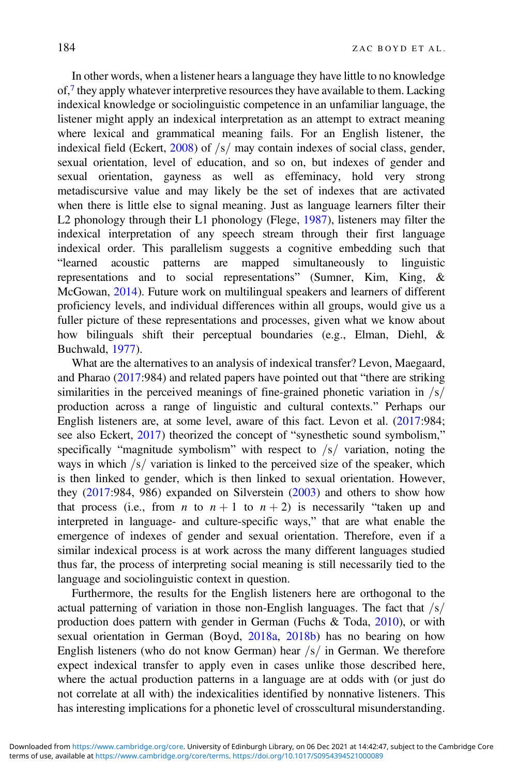In other words, when a listener hears a language they have little to no knowledge  $of,7$  $of,7$  they apply whatever interpretive resources they have available to them. Lacking indexical knowledge or sociolinguistic competence in an unfamiliar language, the listener might apply an indexical interpretation as an attempt to extract meaning where lexical and grammatical meaning fails. For an English listener, the indexical field (Eckert,  $2008$ ) of  $\sqrt{s}$  may contain indexes of social class, gender, sexual orientation, level of education, and so on, but indexes of gender and sexual orientation, gayness as well as effeminacy, hold very strong metadiscursive value and may likely be the set of indexes that are activated when there is little else to signal meaning. Just as language learners filter their L2 phonology through their L1 phonology (Flege, [1987](#page-25-0)), listeners may filter the indexical interpretation of any speech stream through their first language indexical order. This parallelism suggests a cognitive embedding such that "learned acoustic patterns are mapped simultaneously to linguistic representations and to social representations" (Sumner, Kim, King, & McGowan, [2014](#page-26-0)). Future work on multilingual speakers and learners of different proficiency levels, and individual differences within all groups, would give us a fuller picture of these representations and processes, given what we know about how bilinguals shift their perceptual boundaries (e.g., Elman, Diehl, & Buchwald, [1977](#page-25-0)).

What are the alternatives to an analysis of indexical transfer? Levon, Maegaard, and Pharao ([2017:](#page-25-0)984) and related papers have pointed out that "there are striking similarities in the perceived meanings of fine-grained phonetic variation in  $\frac{s}{s}$ production across a range of linguistic and cultural contexts." Perhaps our English listeners are, at some level, aware of this fact. Levon et al. ([2017:](#page-25-0)984; see also Eckert, [2017\)](#page-24-0) theorized the concept of "synesthetic sound symbolism," specifically "magnitude symbolism" with respect to  $/s/$  variation, noting the ways in which  $\frac{s}{x}$  variation is linked to the perceived size of the speaker, which is then linked to gender, which is then linked to sexual orientation. However, they [\(2017](#page-25-0):984, 986) expanded on Silverstein [\(2003](#page-26-0)) and others to show how that process (i.e., from *n* to  $n + 1$  to  $n + 2$ ) is necessarily "taken up and interpreted in language- and culture-specific ways," that are what enable the emergence of indexes of gender and sexual orientation. Therefore, even if a similar indexical process is at work across the many different languages studied thus far, the process of interpreting social meaning is still necessarily tied to the language and sociolinguistic context in question.

Furthermore, the results for the English listeners here are orthogonal to the actual patterning of variation in those non-English languages. The fact that  $\sqrt{s}$ production does pattern with gender in German (Fuchs & Toda, [2010](#page-25-0)), or with sexual orientation in German (Boyd, [2018a,](#page-24-0) [2018b](#page-24-0)) has no bearing on how English listeners (who do not know German) hear  $\frac{s}{n}$  in German. We therefore expect indexical transfer to apply even in cases unlike those described here, where the actual production patterns in a language are at odds with (or just do not correlate at all with) the indexicalities identified by nonnative listeners. This has interesting implications for a phonetic level of crosscultural misunderstanding.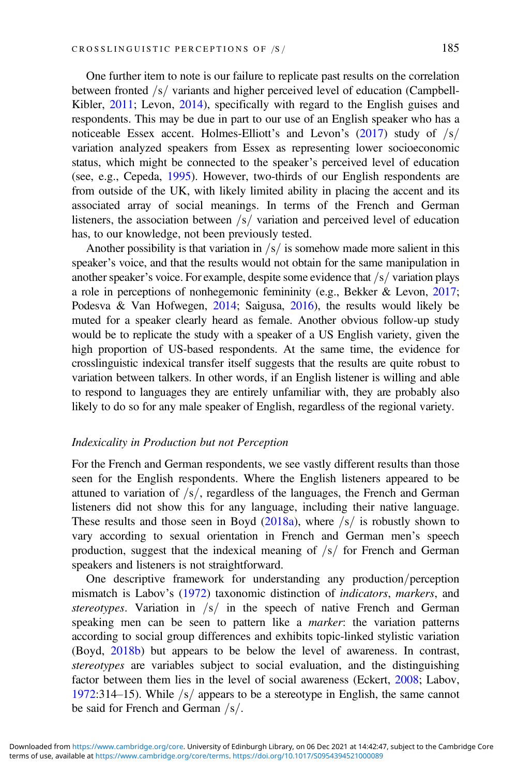One further item to note is our failure to replicate past results on the correlation between fronted  $/s/$  variants and higher perceived level of education (Campbell-Kibler, [2011;](#page-24-0) Levon, [2014\)](#page-25-0), specifically with regard to the English guises and respondents. This may be due in part to our use of an English speaker who has a noticeable Essex accent. Holmes-Elliott's and Levon's  $(2017)$  $(2017)$  study of  $/s/$ variation analyzed speakers from Essex as representing lower socioeconomic status, which might be connected to the speaker's perceived level of education (see, e.g., Cepeda, [1995\)](#page-24-0). However, two-thirds of our English respondents are from outside of the UK, with likely limited ability in placing the accent and its associated array of social meanings. In terms of the French and German listeners, the association between  $\frac{1}{s}$  variation and perceived level of education has, to our knowledge, not been previously tested.

Another possibility is that variation in  $\frac{s}{i}$  is somehow made more salient in this speaker's voice, and that the results would not obtain for the same manipulation in another speaker's voice. For example, despite some evidence that  $/s/$  variation plays a role in perceptions of nonhegemonic femininity (e.g., Bekker & Levon, [2017](#page-24-0); Podesva & Van Hofwegen, [2014;](#page-26-0) Saigusa, [2016](#page-26-0)), the results would likely be muted for a speaker clearly heard as female. Another obvious follow-up study would be to replicate the study with a speaker of a US English variety, given the high proportion of US-based respondents. At the same time, the evidence for crosslinguistic indexical transfer itself suggests that the results are quite robust to variation between talkers. In other words, if an English listener is willing and able to respond to languages they are entirely unfamiliar with, they are probably also likely to do so for any male speaker of English, regardless of the regional variety.

#### Indexicality in Production but not Perception

For the French and German respondents, we see vastly different results than those seen for the English respondents. Where the English listeners appeared to be attuned to variation of  $\frac{s}{s}$ , regardless of the languages, the French and German listeners did not show this for any language, including their native language. These results and those seen in Boyd  $(2018a)$ , where  $\sqrt{s}$  is robustly shown to vary according to sexual orientation in French and German men's speech production, suggest that the indexical meaning of  $\frac{s}{s}$  for French and German speakers and listeners is not straightforward.

One descriptive framework for understanding any production/perception mismatch is Labov's ([1972\)](#page-25-0) taxonomic distinction of indicators, markers, and stereotypes. Variation in  $\sqrt{s}$  in the speech of native French and German speaking men can be seen to pattern like a marker: the variation patterns according to social group differences and exhibits topic-linked stylistic variation (Boyd, [2018b\)](#page-24-0) but appears to be below the level of awareness. In contrast, stereotypes are variables subject to social evaluation, and the distinguishing factor between them lies in the level of social awareness (Eckert, [2008;](#page-24-0) Labov, [1972:](#page-25-0)314–15). While  $\sqrt{s}$  appears to be a stereotype in English, the same cannot be said for French and German  $\frac{s}{$ .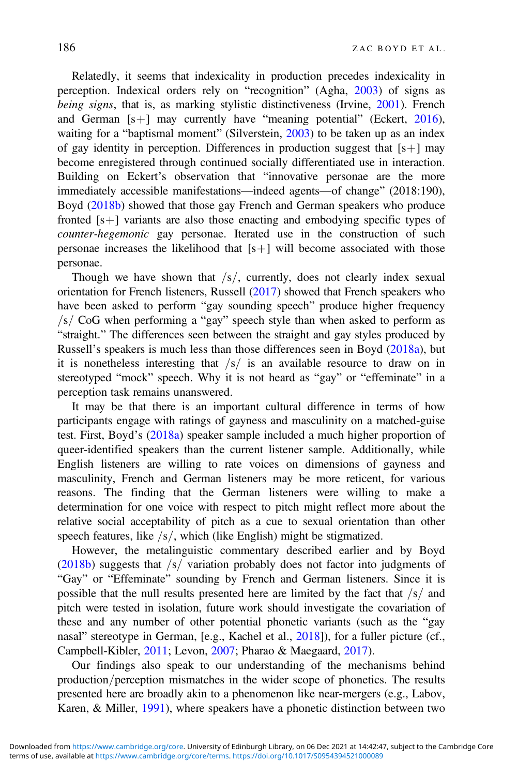Relatedly, it seems that indexicality in production precedes indexicality in perception. Indexical orders rely on "recognition" (Agha, [2003](#page-24-0)) of signs as being signs, that is, as marking stylistic distinctiveness (Irvine, [2001\)](#page-25-0). French and German  $[s+]$  may currently have "meaning potential" (Eckert, [2016](#page-24-0)), waiting for a "baptismal moment" (Silverstein, [2003](#page-26-0)) to be taken up as an index of gay identity in perception. Differences in production suggest that  $[s+]$  may become enregistered through continued socially differentiated use in interaction. Building on Eckert's observation that "innovative personae are the more immediately accessible manifestations—indeed agents—of change" (2018:190), Boyd [\(2018b](#page-24-0)) showed that those gay French and German speakers who produce fronted  $[s+]$  variants are also those enacting and embodying specific types of counter-hegemonic gay personae. Iterated use in the construction of such personae increases the likelihood that  $[s+]$  will become associated with those personae.

Though we have shown that  $\frac{s}{s}$  currently, does not clearly index sexual orientation for French listeners, Russell [\(2017](#page-26-0)) showed that French speakers who have been asked to perform "gay sounding speech" produce higher frequency  $\sqrt{s}$  CoG when performing a "gay" speech style than when asked to perform as "straight." The differences seen between the straight and gay styles produced by Russell's speakers is much less than those differences seen in Boyd [\(2018a\)](#page-24-0), but it is nonetheless interesting that  $\sqrt{s}$  is an available resource to draw on in stereotyped "mock" speech. Why it is not heard as "gay" or "effeminate" in a perception task remains unanswered.

It may be that there is an important cultural difference in terms of how participants engage with ratings of gayness and masculinity on a matched-guise test. First, Boyd's ([2018a\)](#page-24-0) speaker sample included a much higher proportion of queer-identified speakers than the current listener sample. Additionally, while English listeners are willing to rate voices on dimensions of gayness and masculinity, French and German listeners may be more reticent, for various reasons. The finding that the German listeners were willing to make a determination for one voice with respect to pitch might reflect more about the relative social acceptability of pitch as a cue to sexual orientation than other speech features, like  $/s/$ , which (like English) might be stigmatized.

However, the metalinguistic commentary described earlier and by Boyd [\(2018b](#page-24-0)) suggests that  $\sqrt{s}$  variation probably does not factor into judgments of "Gay" or "Effeminate" sounding by French and German listeners. Since it is possible that the null results presented here are limited by the fact that  $\frac{s}{a}$  and pitch were tested in isolation, future work should investigate the covariation of these and any number of other potential phonetic variants (such as the "gay nasal" stereotype in German, [e.g., Kachel et al., [2018](#page-25-0)]), for a fuller picture (cf., Campbell-Kibler, [2011](#page-24-0); Levon, [2007](#page-25-0); Pharao & Maegaard, [2017\)](#page-26-0).

Our findings also speak to our understanding of the mechanisms behind production/perception mismatches in the wider scope of phonetics. The results presented here are broadly akin to a phenomenon like near-mergers (e.g., Labov, Karen, & Miller, [1991](#page-25-0)), where speakers have a phonetic distinction between two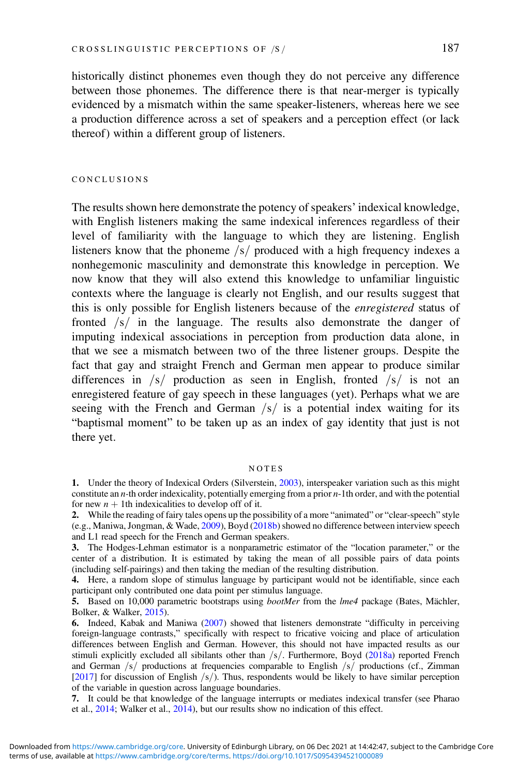<span id="page-23-0"></span>historically distinct phonemes even though they do not perceive any difference between those phonemes. The difference there is that near-merger is typically evidenced by a mismatch within the same speaker-listeners, whereas here we see a production difference across a set of speakers and a perception effect (or lack thereof) within a different group of listeners.

#### CONCLUSIONS

The results shown here demonstrate the potency of speakers' indexical knowledge, with English listeners making the same indexical inferences regardless of their level of familiarity with the language to which they are listening. English listeners know that the phoneme  $\frac{s}{r}$  produced with a high frequency indexes a nonhegemonic masculinity and demonstrate this knowledge in perception. We now know that they will also extend this knowledge to unfamiliar linguistic contexts where the language is clearly not English, and our results suggest that this is only possible for English listeners because of the enregistered status of fronted  $\sqrt{s}$  in the language. The results also demonstrate the danger of imputing indexical associations in perception from production data alone, in that we see a mismatch between two of the three listener groups. Despite the fact that gay and straight French and German men appear to produce similar differences in  $/s/$  production as seen in English, fronted  $/s/$  is not an enregistered feature of gay speech in these languages (yet). Perhaps what we are seeing with the French and German  $\sqrt{s}$  is a potential index waiting for its "baptismal moment" to be taken up as an index of gay identity that just is not there yet.

#### NOTES

7. It could be that knowledge of the language interrupts or mediates indexical transfer (see Pharao et al., [2014;](#page-26-0) Walker et al., [2014\)](#page-27-0), but our results show no indication of this effect.

<sup>1.</sup> Under the theory of Indexical Orders (Silverstein, [2003](#page-26-0)), interspeaker variation such as this might constitute an *n*-th order indexicality, potentially emerging from a prior  $n-1$  th order, and with the potential for new  $n + 1$ th indexicalities to develop off of it.

<sup>2.</sup> While the reading of fairy tales opens up the possibility of a more "animated" or "clear-speech" style (e.g., Maniwa, Jongman, & Wade, [2009](#page-26-0)), Boyd ([2018b\)](#page-24-0) showed no difference between interview speech and L1 read speech for the French and German speakers.

<sup>3.</sup> The Hodges-Lehman estimator is a nonparametric estimator of the "location parameter," or the center of a distribution. It is estimated by taking the mean of all possible pairs of data points (including self-pairings) and then taking the median of the resulting distribution.

<sup>4.</sup> Here, a random slope of stimulus language by participant would not be identifiable, since each participant only contributed one data point per stimulus language.

<sup>5.</sup> Based on 10,000 parametric bootstraps using *bootMer* from the *lme4* package (Bates, Mächler, Bolker, & Walker, [2015\)](#page-24-0).

<sup>6.</sup> Indeed, Kabak and Maniwa ([2007\)](#page-25-0) showed that listeners demonstrate "difficulty in perceiving foreign-language contrasts," specifically with respect to fricative voicing and place of articulation differences between English and German. However, this should not have impacted results as our stimuli explicitly excluded all sibilants other than  $/s/$ . Furthermore, Boyd ([2018a](#page-24-0)) reported French and German  $\frac{s}{r}$  productions at frequencies comparable to English  $\frac{s}{r}$  productions (cf., Zimman [[2017\]](#page-27-0) for discussion of English  $\frac{s}{$ . Thus, respondents would be likely to have similar perception of the variable in question across language boundaries.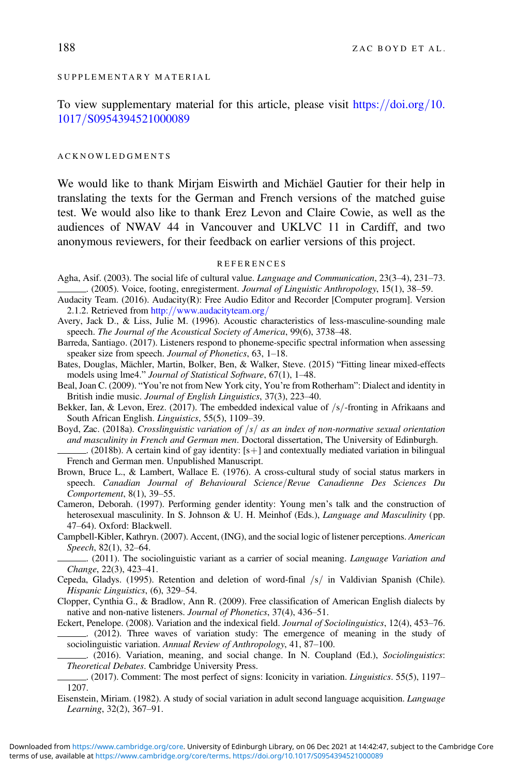#### <span id="page-24-0"></span>SUPPLEMENTARY MATERIAL

To view supplementary material for this article, please visit [https:](https://doi.org/10.1017/S0954394521000089)//[doi.org](https://doi.org/10.1017/S0954394521000089)/[10.](https://doi.org/10.1017/S0954394521000089) [1017](https://doi.org/10.1017/S0954394521000089)/[S0954394521000089](https://doi.org/10.1017/S0954394521000089)

#### ACKNOWLEDGMENTS

We would like to thank Mirjam Eiswirth and Michäel Gautier for their help in translating the texts for the German and French versions of the matched guise test. We would also like to thank Erez Levon and Claire Cowie, as well as the audiences of NWAV 44 in Vancouver and UKLVC 11 in Cardiff, and two anonymous reviewers, for their feedback on earlier versions of this project.

#### REFERENCES

- Agha, Asif. (2003). The social life of cultural value. Language and Communication, 23(3–4), 231–73. .. (2005). Voice, footing, enregisterment. Journal of Linguistic Anthropology, 15(1), 38–59.
- Audacity Team. (2016). Audacity(R): Free Audio Editor and Recorder [Computer program]. Version 2.1.2. Retrieved from [http:](http://www.audacityteam.org/)//[www.audacityteam.org](http://www.audacityteam.org/)/
- Avery, Jack D., & Liss, Julie M. (1996). Acoustic characteristics of less-masculine-sounding male speech. The Journal of the Acoustical Society of America, 99(6), 3738–48.
- Barreda, Santiago. (2017). Listeners respond to phoneme-specific spectral information when assessing speaker size from speech. Journal of Phonetics, 63, 1–18.
- Bates, Douglas, Mächler, Martin, Bolker, Ben, & Walker, Steve. (2015) "Fitting linear mixed-effects models using lme4." Journal of Statistical Software, 67(1), 1–48.
- Beal, Joan C. (2009). "You're not from New York city, You're from Rotherham": Dialect and identity in British indie music. Journal of English Linguistics, 37(3), 223–40.
- Bekker, Ian, & Levon, Erez. (2017). The embedded indexical value of  $\frac{s}{r}$ -fronting in Afrikaans and South African English. Linguistics, 55(5), 1109–39.
- Boyd, Zac. (2018a). Crosslinguistic variation of  $\frac{|s|}{\sqrt{ss}}$  as an index of non-normative sexual orientation and masculinity in French and German men. Doctoral dissertation, The University of Edinburgh. . (2018b). A certain kind of gay identity:  $[s+]$  and contextually mediated variation in bilingual

French and German men. Unpublished Manuscript.

- Brown, Bruce L., & Lambert, Wallace E. (1976). A cross-cultural study of social status markers in speech. Canadian Journal of Behavioural Science/Revue Canadienne Des Sciences Du Comportement, 8(1), 39–55.
- Cameron, Deborah. (1997). Performing gender identity: Young men's talk and the construction of heterosexual masculinity. In S. Johnson & U. H. Meinhof (Eds.), *Language and Masculinity* (pp. 47–64). Oxford: Blackwell.

Campbell-Kibler, Kathryn. (2007). Accent, (ING), and the social logic of listener perceptions. American Speech, 82(1), 32–64.

. (2011). The sociolinguistic variant as a carrier of social meaning. Language Variation and Change, 22(3), 423–41.

Cepeda, Gladys. (1995). Retention and deletion of word-final  $/s/$  in Valdivian Spanish (Chile). Hispanic Linguistics, (6), 329–54.

Clopper, Cynthia G., & Bradlow, Ann R. (2009). Free classification of American English dialects by native and non-native listeners. Journal of Phonetics, 37(4), 436–51.

Eckert, Penelope. (2008). Variation and the indexical field. Journal of Sociolinguistics, 12(4), 453–76. . (2012). Three waves of variation study: The emergence of meaning in the study of

sociolinguistic variation. Annual Review of Anthropology, 41, 87–100. . (2016). Variation, meaning, and social change. In N. Coupland (Ed.), Sociolinguistics: Theoretical Debates. Cambridge University Press.

. (2017). Comment: The most perfect of signs: Iconicity in variation. Linguistics. 55(5), 1197– 1207.

Eisenstein, Miriam. (1982). A study of social variation in adult second language acquisition. Language Learning, 32(2), 367–91.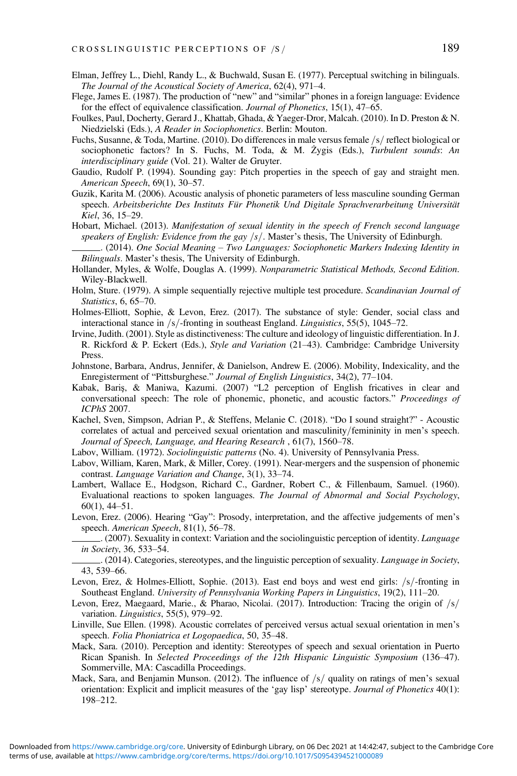- <span id="page-25-0"></span>Elman, Jeffrey L., Diehl, Randy L., & Buchwald, Susan E. (1977). Perceptual switching in bilinguals. The Journal of the Acoustical Society of America, 62(4), 971–4.
- Flege, James E. (1987). The production of "new" and "similar" phones in a foreign language: Evidence for the effect of equivalence classification. Journal of Phonetics, 15(1), 47–65.
- Foulkes, Paul, Docherty, Gerard J., Khattab, Ghada, & Yaeger-Dror, Malcah. (2010). In D. Preston & N. Niedzielski (Eds.), A Reader in Sociophonetics. Berlin: Mouton.
- Fuchs, Susanne, & Toda, Martine. (2010). Do differences in male versus female  $/s/$  reflect biological or sociophonetic factors? In S. Fuchs, M. Toda, & M. Żygis (Eds.), Turbulent sounds: An interdisciplinary guide (Vol. 21). Walter de Gruyter.
- Gaudio, Rudolf P. (1994). Sounding gay: Pitch properties in the speech of gay and straight men. American Speech, 69(1), 30–57.
- Guzik, Karita M. (2006). Acoustic analysis of phonetic parameters of less masculine sounding German speech. Arbeitsberichte Des Instituts Für Phonetik Und Digitale Sprachverarbeitung Universität Kiel, 36, 15–29.
- Hobart, Michael. (2013). Manifestation of sexual identity in the speech of French second language speakers of English: Evidence from the gay  $\frac{s}{s}$ . Master's thesis, The University of Edinburgh.
- . (2014). One Social Meaning Two Languages: Sociophonetic Markers Indexing Identity in Bilinguals. Master's thesis, The University of Edinburgh.
- Hollander, Myles, & Wolfe, Douglas A. (1999). Nonparametric Statistical Methods, Second Edition. Wiley-Blackwell.
- Holm, Sture. (1979). A simple sequentially rejective multiple test procedure. Scandinavian Journal of Statistics, 6, 65–70.
- Holmes-Elliott, Sophie, & Levon, Erez. (2017). The substance of style: Gender, social class and interactional stance in  $/s$ -fronting in southeast England. Linguistics, 55(5), 1045–72.
- Irvine, Judith. (2001). Style as distinctiveness: The culture and ideology of linguistic differentiation. In J. R. Rickford & P. Eckert (Eds.), Style and Variation (21–43). Cambridge: Cambridge University Press.
- Johnstone, Barbara, Andrus, Jennifer, & Danielson, Andrew E. (2006). Mobility, Indexicality, and the Enregisterment of "Pittsburghese." Journal of English Linguistics, 34(2), 77–104.
- Kabak, Bariş, & Maniwa, Kazumi. (2007) "L2 perception of English fricatives in clear and conversational speech: The role of phonemic, phonetic, and acoustic factors." Proceedings of ICPhS 2007.
- Kachel, Sven, Simpson, Adrian P., & Steffens, Melanie C. (2018). "Do I sound straight?" Acoustic correlates of actual and perceived sexual orientation and masculinity/femininity in men's speech. Journal of Speech, Language, and Hearing Research , 61(7), 1560–78.
- Labov, William. (1972). Sociolinguistic patterns (No. 4). University of Pennsylvania Press.
- Labov, William, Karen, Mark, & Miller, Corey. (1991). Near-mergers and the suspension of phonemic contrast. Language Variation and Change, 3(1), 33–74.
- Lambert, Wallace E., Hodgson, Richard C., Gardner, Robert C., & Fillenbaum, Samuel. (1960). Evaluational reactions to spoken languages. The Journal of Abnormal and Social Psychology, 60(1), 44–51.
- Levon, Erez. (2006). Hearing "Gay": Prosody, interpretation, and the affective judgements of men's speech. American Speech, 81(1), 56-78.
- . (2007). Sexuality in context: Variation and the sociolinguistic perception of identity. Language in Society, 36, 533–54.
- . (2014). Categories, stereotypes, and the linguistic perception of sexuality. Language in Society, 43, 539–66.
- Levon, Erez, & Holmes-Elliott, Sophie. (2013). East end boys and west end girls:  $\frac{s}{-}$  fronting in Southeast England. University of Pennsylvania Working Papers in Linguistics, 19(2), 111–20.
- Levon, Erez, Maegaard, Marie., & Pharao, Nicolai. (2017). Introduction: Tracing the origin of  $\sqrt{s}$ variation. Linguistics, 55(5), 979–92.
- Linville, Sue Ellen. (1998). Acoustic correlates of perceived versus actual sexual orientation in men's speech. Folia Phoniatrica et Logopaedica, 50, 35–48.
- Mack, Sara. (2010). Perception and identity: Stereotypes of speech and sexual orientation in Puerto Rican Spanish. In Selected Proceedings of the 12th Hispanic Linguistic Symposium (136–47). Sommerville, MA: Cascadilla Proceedings.
- Mack, Sara, and Benjamin Munson. (2012). The influence of  $/s/$  quality on ratings of men's sexual orientation: Explicit and implicit measures of the 'gay lisp' stereotype. Journal of Phonetics 40(1): 198–212.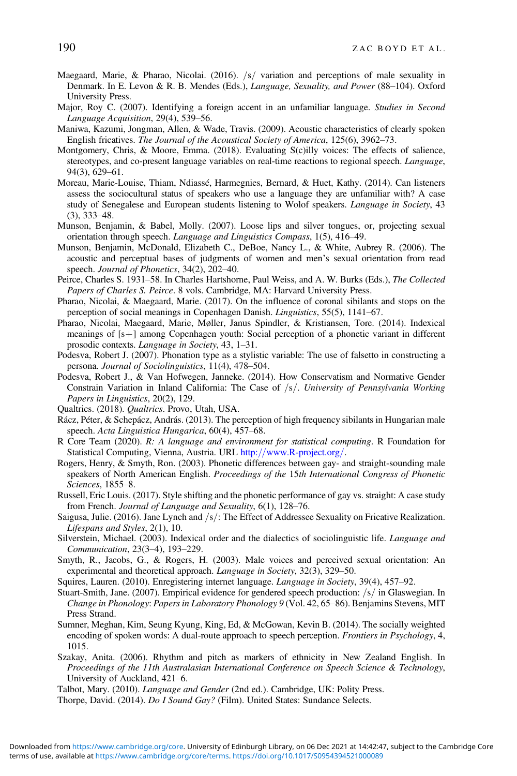- <span id="page-26-0"></span>Maegaard, Marie, & Pharao, Nicolai. (2016).  $/s/$  variation and perceptions of male sexuality in Denmark. In E. Levon & R. B. Mendes (Eds.), Language, Sexuality, and Power (88–104). Oxford University Press.
- Major, Roy C. (2007). Identifying a foreign accent in an unfamiliar language. Studies in Second Language Acquisition, 29(4), 539–56.
- Maniwa, Kazumi, Jongman, Allen, & Wade, Travis. (2009). Acoustic characteristics of clearly spoken English fricatives. The Journal of the Acoustical Society of America, 125(6), 3962–73.
- Montgomery, Chris, & Moore, Emma. (2018). Evaluating S(c)illy voices: The effects of salience, stereotypes, and co-present language variables on real-time reactions to regional speech. Language, 94(3), 629–61.
- Moreau, Marie-Louise, Thiam, Ndiassé, Harmegnies, Bernard, & Huet, Kathy. (2014). Can listeners assess the sociocultural status of speakers who use a language they are unfamiliar with? A case study of Senegalese and European students listening to Wolof speakers. *Language in Society*, 43 (3), 333–48.
- Munson, Benjamin, & Babel, Molly. (2007). Loose lips and silver tongues, or, projecting sexual orientation through speech. Language and Linguistics Compass, 1(5), 416–49.
- Munson, Benjamin, McDonald, Elizabeth C., DeBoe, Nancy L., & White, Aubrey R. (2006). The acoustic and perceptual bases of judgments of women and men's sexual orientation from read speech. Journal of Phonetics, 34(2), 202-40.
- Peirce, Charles S. 1931–58. In Charles Hartshorne, Paul Weiss, and A. W. Burks (Eds.), The Collected Papers of Charles S. Peirce. 8 vols. Cambridge, MA: Harvard University Press.
- Pharao, Nicolai, & Maegaard, Marie. (2017). On the influence of coronal sibilants and stops on the perception of social meanings in Copenhagen Danish. Linguistics, 55(5), 1141–67.
- Pharao, Nicolai, Maegaard, Marie, Møller, Janus Spindler, & Kristiansen, Tore. (2014). Indexical meanings of  $[s+]$  among Copenhagen youth: Social perception of a phonetic variant in different prosodic contexts. Language in Society, 43, 1–31.
- Podesva, Robert J. (2007). Phonation type as a stylistic variable: The use of falsetto in constructing a persona. Journal of Sociolinguistics, 11(4), 478–504.
- Podesva, Robert J., & Van Hofwegen, Janneke. (2014). How Conservatism and Normative Gender Constrain Variation in Inland California: The Case of  $/s/$ . University of Pennsylvania Working Papers in Linguistics, 20(2), 129.
- Qualtrics. (2018). Qualtrics. Provo, Utah, USA.
- Rácz, Péter, & Schepácz, András. (2013). The perception of high frequency sibilants in Hungarian male speech. Acta Linguistica Hungarica, 60(4), 457–68.
- R Core Team (2020). R: A language and environment for statistical computing. R Foundation for Statistical Computing, Vienna, Austria. URL [http:](http://www.R-project.org/)//[www.R-project.org](http://www.R-project.org/)/.
- Rogers, Henry, & Smyth, Ron. (2003). Phonetic differences between gay- and straight-sounding male speakers of North American English. Proceedings of the 15th International Congress of Phonetic Sciences, 1855–8.
- Russell, Eric Louis. (2017). Style shifting and the phonetic performance of gay vs. straight: A case study from French. Journal of Language and Sexuality, 6(1), 128–76.
- Saigusa, Julie. (2016). Jane Lynch and  $\sqrt{s}$ : The Effect of Addressee Sexuality on Fricative Realization. Lifespans and Styles, 2(1), 10.
- Silverstein, Michael. (2003). Indexical order and the dialectics of sociolinguistic life. Language and Communication, 23(3–4), 193–229.
- Smyth, R., Jacobs, G., & Rogers, H. (2003). Male voices and perceived sexual orientation: An experimental and theoretical approach. *Language in Society*, 32(3), 329–50.
- Squires, Lauren. (2010). Enregistering internet language. Language in Society, 39(4), 457–92.
- Stuart-Smith, Jane. (2007). Empirical evidence for gendered speech production:  $\frac{s}{s}$  in Glaswegian. In Change in Phonology: Papers in Laboratory Phonology 9 (Vol. 42, 65–86). Benjamins Stevens, MIT Press Strand.
- Sumner, Meghan, Kim, Seung Kyung, King, Ed, & McGowan, Kevin B. (2014). The socially weighted encoding of spoken words: A dual-route approach to speech perception. *Frontiers in Psychology*, 4, 1015.
- Szakay, Anita. (2006). Rhythm and pitch as markers of ethnicity in New Zealand English. In Proceedings of the 11th Australasian International Conference on Speech Science & Technology, University of Auckland, 421–6.
- Talbot, Mary. (2010). Language and Gender (2nd ed.). Cambridge, UK: Polity Press.

Thorpe, David. (2014). Do I Sound Gay? (Film). United States: Sundance Selects.